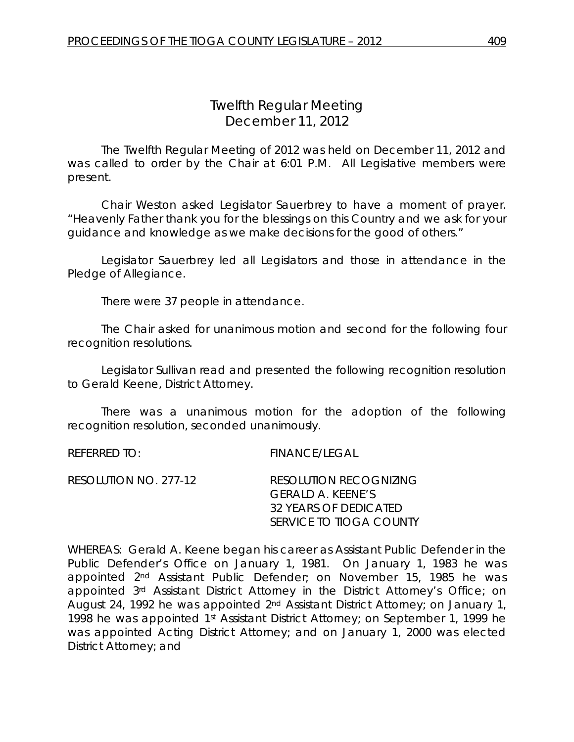# *Twelfth Regular Meeting* December 11, 2012

The Twelfth Regular Meeting of 2012 was held on December 11, 2012 and was called to order by the Chair at 6:01 P.M. All Legislative members were present.

Chair Weston asked Legislator Sauerbrey to have a moment of prayer. "Heavenly Father thank you for the blessings on this Country and we ask for your guidance and knowledge as we make decisions for the good of others."

Legislator Sauerbrey led all Legislators and those in attendance in the Pledge of Allegiance.

There were 37 people in attendance.

The Chair asked for unanimous motion and second for the following four recognition resolutions.

Legislator Sullivan read and presented the following recognition resolution to Gerald Keene, District Attorney.

There was a unanimous motion for the adoption of the following recognition resolution, seconded unanimously.

REFERRED TO: FINANCE/LEGAL

| RESOLUTION NO. 277-12 | RESOLUTION RECOGNIZING  |
|-----------------------|-------------------------|
|                       | GERALD A. KEENE'S       |
|                       | 32 YEARS OF DEDICATED   |
|                       | SERVICE TO TIOGA COUNTY |

WHEREAS: Gerald A. Keene began his career as Assistant Public Defender in the Public Defender's Office on January 1, 1981. On January 1, 1983 he was appointed 2nd Assistant Public Defender; on November 15, 1985 he was appointed 3rd Assistant District Attorney in the District Attorney's Office; on August 24, 1992 he was appointed 2nd Assistant District Attorney; on January 1, 1998 he was appointed 1st Assistant District Attorney; on September 1, 1999 he was appointed Acting District Attorney; and on January 1, 2000 was elected District Attorney; and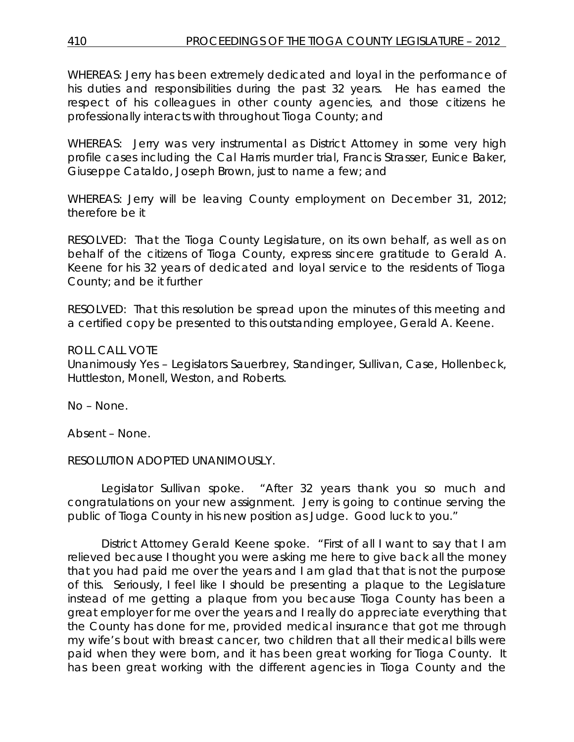WHEREAS: Jerry has been extremely dedicated and loyal in the performance of his duties and responsibilities during the past 32 years. He has earned the respect of his colleagues in other county agencies, and those citizens he professionally interacts with throughout Tioga County; and

WHEREAS: Jerry was very instrumental as District Attorney in some very high profile cases including the Cal Harris murder trial, Francis Strasser, Eunice Baker, Giuseppe Cataldo, Joseph Brown, just to name a few; and

WHEREAS: Jerry will be leaving County employment on December 31, 2012; therefore be it

RESOLVED: That the Tioga County Legislature, on its own behalf, as well as on behalf of the citizens of Tioga County, express sincere gratitude to Gerald A. Keene for his 32 years of dedicated and loyal service to the residents of Tioga County; and be it further

RESOLVED: That this resolution be spread upon the minutes of this meeting and a certified copy be presented to this outstanding employee, Gerald A. Keene.

### ROLL CALL VOTE

Unanimously Yes – Legislators Sauerbrey, Standinger, Sullivan, Case, Hollenbeck, Huttleston, Monell, Weston, and Roberts.

No – None.

Absent – None.

RESOLUTION ADOPTED UNANIMOUSLY.

Legislator Sullivan spoke. "After 32 years thank you so much and congratulations on your new assignment. Jerry is going to continue serving the public of Tioga County in his new position as Judge. Good luck to you."

District Attorney Gerald Keene spoke. "First of all I want to say that I am relieved because I thought you were asking me here to give back all the money that you had paid me over the years and I am glad that that is not the purpose of this. Seriously, I feel like I should be presenting a plaque to the Legislature instead of me getting a plaque from you because Tioga County has been a great employer for me over the years and I really do appreciate everything that the County has done for me, provided medical insurance that got me through my wife's bout with breast cancer, two children that all their medical bills were paid when they were born, and it has been great working for Tioga County. It has been great working with the different agencies in Tioga County and the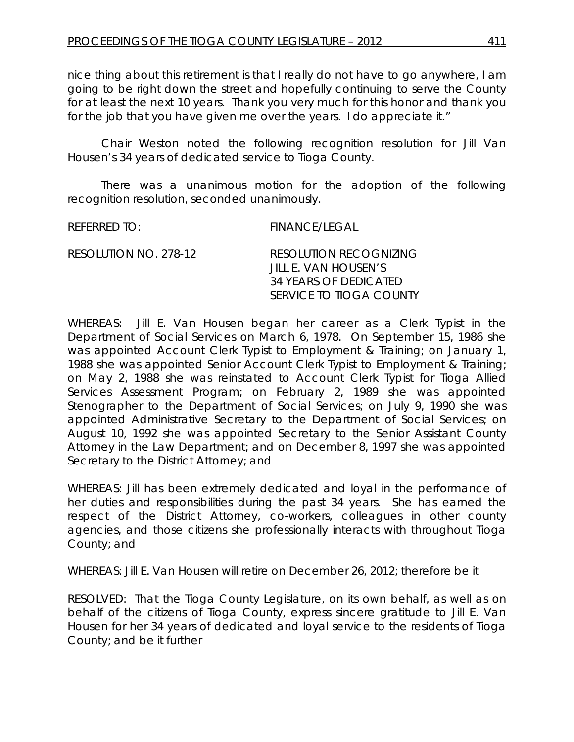nice thing about this retirement is that I really do not have to go anywhere, I am going to be right down the street and hopefully continuing to serve the County for at least the next 10 years. Thank you very much for this honor and thank you for the job that you have given me over the years. I do appreciate it."

Chair Weston noted the following recognition resolution for Jill Van Housen's 34 years of dedicated service to Tioga County.

There was a unanimous motion for the adoption of the following recognition resolution, seconded unanimously.

REFERRED TO: FINANCE/LEGAL

| RESOLUTION NO. 278-12 | RESOLUTION RECOGNIZING  |
|-----------------------|-------------------------|
|                       | JIH F. VAN HOUSEN'S     |
|                       | 34 YEARS OF DEDICATED   |
|                       | SERVICE TO TIOGA COUNTY |

WHEREAS: Jill E. Van Housen began her career as a Clerk Typist in the Department of Social Services on March 6, 1978. On September 15, 1986 she was appointed Account Clerk Typist to Employment & Training; on January 1, 1988 she was appointed Senior Account Clerk Typist to Employment & Training; on May 2, 1988 she was reinstated to Account Clerk Typist for Tioga Allied Services Assessment Program; on February 2, 1989 she was appointed Stenographer to the Department of Social Services; on July 9, 1990 she was appointed Administrative Secretary to the Department of Social Services; on August 10, 1992 she was appointed Secretary to the Senior Assistant County Attorney in the Law Department; and on December 8, 1997 she was appointed Secretary to the District Attorney; and

WHEREAS: Jill has been extremely dedicated and loyal in the performance of her duties and responsibilities during the past 34 years. She has earned the respect of the District Attorney, co-workers, colleagues in other county agencies, and those citizens she professionally interacts with throughout Tioga County; and

WHEREAS: Jill E. Van Housen will retire on December 26, 2012; therefore be it

RESOLVED: That the Tioga County Legislature, on its own behalf, as well as on behalf of the citizens of Tioga County, express sincere gratitude to Jill E. Van Housen for her 34 years of dedicated and loyal service to the residents of Tioga County; and be it further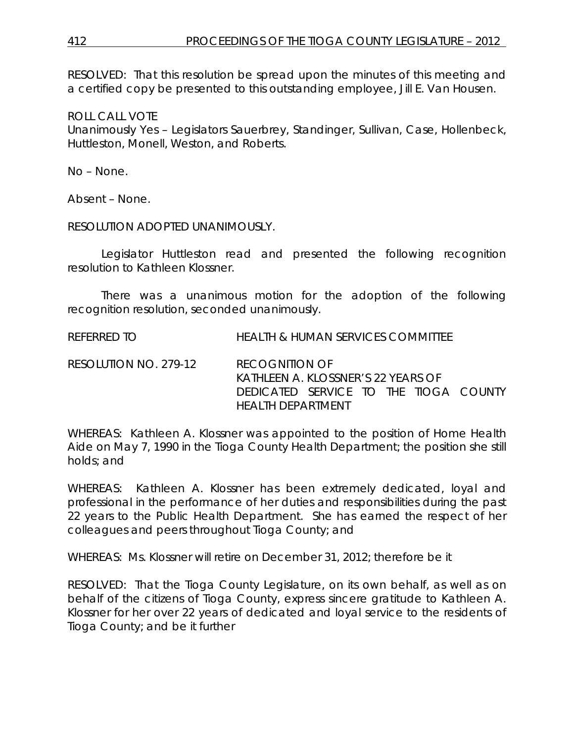RESOLVED: That this resolution be spread upon the minutes of this meeting and a certified copy be presented to this outstanding employee, Jill E. Van Housen.

ROLL CALL VOTE

Unanimously Yes – Legislators Sauerbrey, Standinger, Sullivan, Case, Hollenbeck, Huttleston, Monell, Weston, and Roberts.

No – None.

Absent – None.

RESOLUTION ADOPTED UNANIMOUSLY.

Legislator Huttleston read and presented the following recognition resolution to Kathleen Klossner.

There was a unanimous motion for the adoption of the following recognition resolution, seconded unanimously.

REFERRED TO HEALTH & HUMAN SERVICES COMMITTEE

RESOLUTION NO. 279-12 *RECOGNITION OF KATHLEEN A. KLOSSNER'S 22 YEARS OF DEDICATED SERVICE TO THE TIOGA COUNTY HEALTH DEPARTMENT*

WHEREAS: Kathleen A. Klossner was appointed to the position of Home Health Aide on May 7, 1990 in the Tioga County Health Department; the position she still holds; and

WHEREAS: Kathleen A. Klossner has been extremely dedicated, loyal and professional in the performance of her duties and responsibilities during the past 22 years to the Public Health Department. She has earned the respect of her colleagues and peers throughout Tioga County; and

WHEREAS: Ms. Klossner will retire on December 31, 2012; therefore be it

RESOLVED: That the Tioga County Legislature, on its own behalf, as well as on behalf of the citizens of Tioga County, express sincere gratitude to Kathleen A. Klossner for her over 22 years of dedicated and loyal service to the residents of Tioga County; and be it further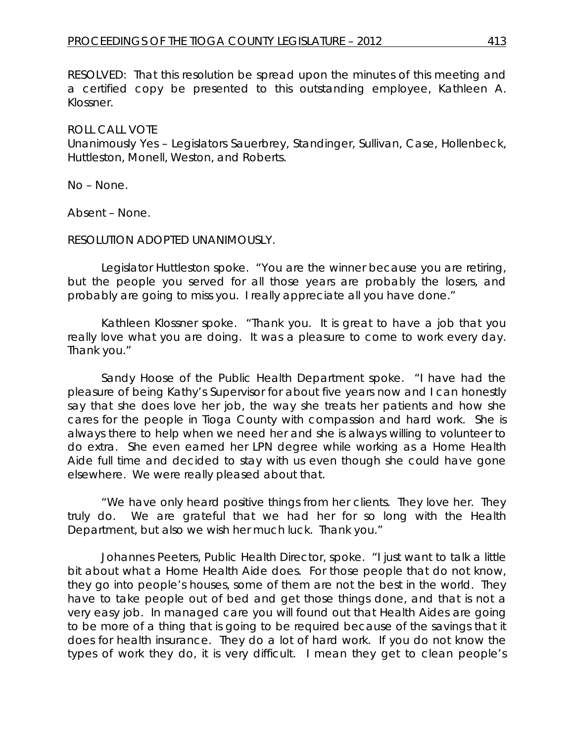RESOLVED: That this resolution be spread upon the minutes of this meeting and a certified copy be presented to this outstanding employee, Kathleen A. Klossner.

#### ROLL CALL VOTE

Unanimously Yes – Legislators Sauerbrey, Standinger, Sullivan, Case, Hollenbeck, Huttleston, Monell, Weston, and Roberts.

No – None.

Absent – None.

#### RESOLUTION ADOPTED UNANIMOUSLY.

Legislator Huttleston spoke. "You are the winner because you are retiring, but the people you served for all those years are probably the losers, and probably are going to miss you. I really appreciate all you have done."

Kathleen Klossner spoke. "Thank you. It is great to have a job that you really love what you are doing. It was a pleasure to come to work every day. Thank you."

Sandy Hoose of the Public Health Department spoke. "I have had the pleasure of being Kathy's Supervisor for about five years now and I can honestly say that she does love her job, the way she treats her patients and how she cares for the people in Tioga County with compassion and hard work. She is always there to help when we need her and she is always willing to volunteer to do extra. She even earned her LPN degree while working as a Home Health Aide full time and decided to stay with us even though she could have gone elsewhere. We were really pleased about that.

"We have only heard positive things from her clients. They love her. They truly do. We are grateful that we had her for so long with the Health Department, but also we wish her much luck. Thank you."

Johannes Peeters, Public Health Director, spoke. "I just want to talk a little bit about what a Home Health Aide does. For those people that do not know, they go into people's houses, some of them are not the best in the world. They have to take people out of bed and get those things done, and that is not a very easy job. In managed care you will found out that Health Aides are going to be more of a thing that is going to be required because of the savings that it does for health insurance. They do a lot of hard work. If you do not know the types of work they do, it is very difficult. I mean they get to clean people's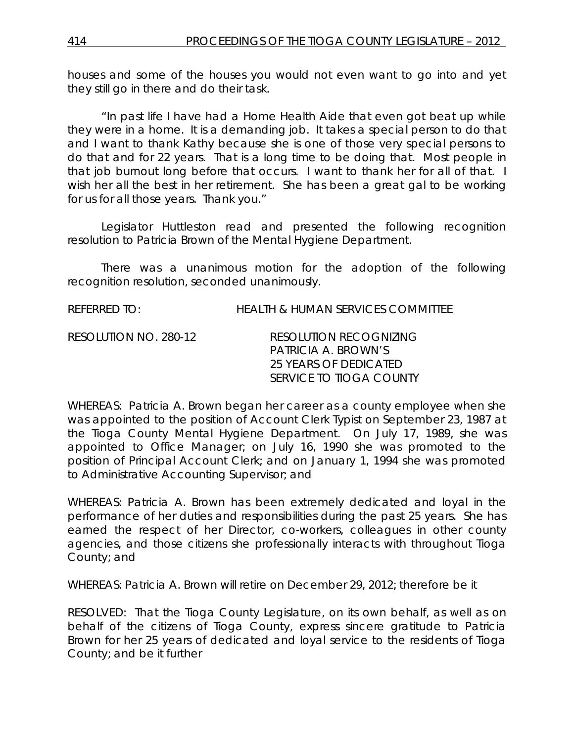houses and some of the houses you would not even want to go into and yet they still go in there and do their task.

"In past life I have had a Home Health Aide that even got beat up while they were in a home. It is a demanding job. It takes a special person to do that and I want to thank Kathy because she is one of those very special persons to do that and for 22 years. That is a long time to be doing that. Most people in that job burnout long before that occurs. I want to thank her for all of that. I wish her all the best in her retirement. She has been a great gal to be working for us for all those years. Thank you."

Legislator Huttleston read and presented the following recognition resolution to Patricia Brown of the Mental Hygiene Department.

There was a unanimous motion for the adoption of the following recognition resolution, seconded unanimously.

REFERRED TO: HEALTH & HUMAN SERVICES COMMITTEE

RESOLUTION NO. 280-12 *RESOLUTION RECOGNIZING PATRICIA A. BROWN'S 25 YEARS OF DEDICATED SERVICE TO TIOGA COUNTY*

WHEREAS: Patricia A. Brown began her career as a county employee when she was appointed to the position of Account Clerk Typist on September 23, 1987 at the Tioga County Mental Hygiene Department. On July 17, 1989, she was appointed to Office Manager; on July 16, 1990 she was promoted to the position of Principal Account Clerk; and on January 1, 1994 she was promoted to Administrative Accounting Supervisor; and

WHEREAS: Patricia A. Brown has been extremely dedicated and loyal in the performance of her duties and responsibilities during the past 25 years. She has earned the respect of her Director, co-workers, colleagues in other county agencies, and those citizens she professionally interacts with throughout Tioga County; and

WHEREAS: Patricia A. Brown will retire on December 29, 2012; therefore be it

RESOLVED: That the Tioga County Legislature, on its own behalf, as well as on behalf of the citizens of Tioga County, express sincere gratitude to Patricia Brown for her 25 years of dedicated and loyal service to the residents of Tioga County; and be it further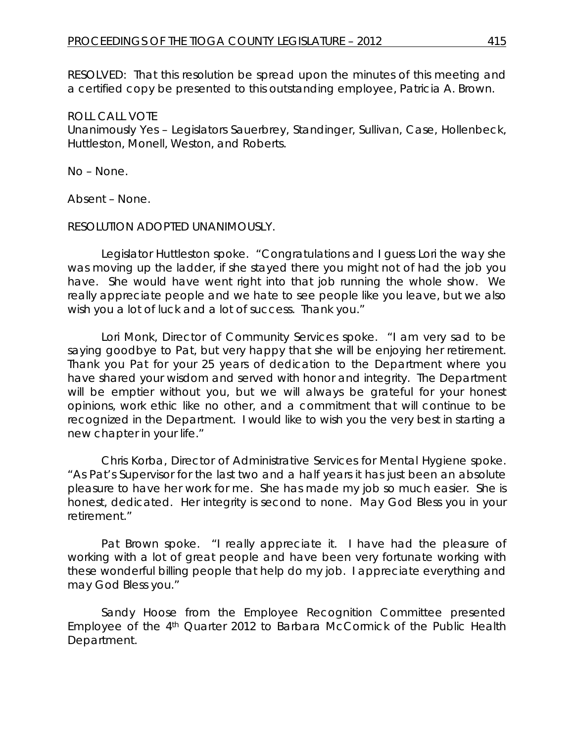RESOLVED: That this resolution be spread upon the minutes of this meeting and a certified copy be presented to this outstanding employee, Patricia A. Brown.

#### ROLL CALL VOTE

Unanimously Yes – Legislators Sauerbrey, Standinger, Sullivan, Case, Hollenbeck, Huttleston, Monell, Weston, and Roberts.

No – None.

Absent – None.

#### RESOLUTION ADOPTED UNANIMOUSLY.

Legislator Huttleston spoke. "Congratulations and I guess Lori the way she was moving up the ladder, if she stayed there you might not of had the job you have. She would have went right into that job running the whole show. We really appreciate people and we hate to see people like you leave, but we also wish you a lot of luck and a lot of success. Thank you."

Lori Monk, Director of Community Services spoke. "I am very sad to be saying goodbye to Pat, but very happy that she will be enjoying her retirement. Thank you Pat for your 25 years of dedication to the Department where you have shared your wisdom and served with honor and integrity. The Department will be emptier without you, but we will always be grateful for your honest opinions, work ethic like no other, and a commitment that will continue to be recognized in the Department. I would like to wish you the very best in starting a new chapter in your life."

Chris Korba, Director of Administrative Services for Mental Hygiene spoke. "As Pat's Supervisor for the last two and a half years it has just been an absolute pleasure to have her work for me. She has made my job so much easier. She is honest, dedicated. Her integrity is second to none. May God Bless you in your retirement."

Pat Brown spoke. "I really appreciate it. I have had the pleasure of working with a lot of great people and have been very fortunate working with these wonderful billing people that help do my job. I appreciate everything and may God Bless you."

Sandy Hoose from the Employee Recognition Committee presented Employee of the 4<sup>th</sup> Quarter 2012 to Barbara McCormick of the Public Health Department.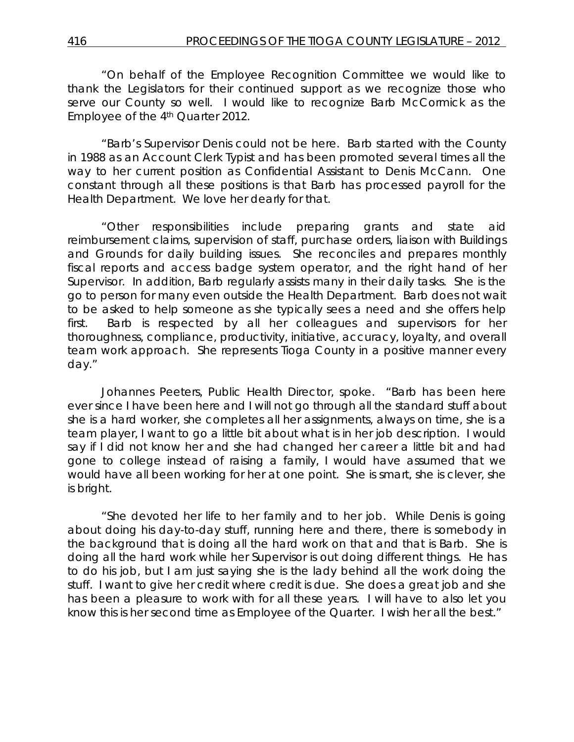"On behalf of the Employee Recognition Committee we would like to thank the Legislators for their continued support as we recognize those who serve our County so well. I would like to recognize Barb McCormick as the Employee of the 4<sup>th</sup> Quarter 2012.

"Barb's Supervisor Denis could not be here. Barb started with the County in 1988 as an Account Clerk Typist and has been promoted several times all the way to her current position as Confidential Assistant to Denis McCann. One constant through all these positions is that Barb has processed payroll for the Health Department. We love her dearly for that.

"Other responsibilities include preparing grants and state aid reimbursement claims, supervision of staff, purchase orders, liaison with Buildings and Grounds for daily building issues. She reconciles and prepares monthly fiscal reports and access badge system operator, and the right hand of her Supervisor. In addition, Barb regularly assists many in their daily tasks. She is the go to person for many even outside the Health Department. Barb does not wait to be asked to help someone as she typically sees a need and she offers help first. Barb is respected by all her colleagues and supervisors for her thoroughness, compliance, productivity, initiative, accuracy, loyalty, and overall team work approach. She represents Tioga County in a positive manner every day."

Johannes Peeters, Public Health Director, spoke. "Barb has been here ever since I have been here and I will not go through all the standard stuff about she is a hard worker, she completes all her assignments, always on time, she is a team player, I want to go a little bit about what is in her job description. I would say if I did not know her and she had changed her career a little bit and had gone to college instead of raising a family, I would have assumed that we would have all been working for her at one point. She is smart, she is clever, she is bright.

"She devoted her life to her family and to her job. While Denis is going about doing his day-to-day stuff, running here and there, there is somebody in the background that is doing all the hard work on that and that is Barb. She is doing all the hard work while her Supervisor is out doing different things. He has to do his job, but I am just saying she is the lady behind all the work doing the stuff. I want to give her credit where credit is due. She does a great job and she has been a pleasure to work with for all these years. I will have to also let you know this is her second time as Employee of the Quarter. I wish her all the best."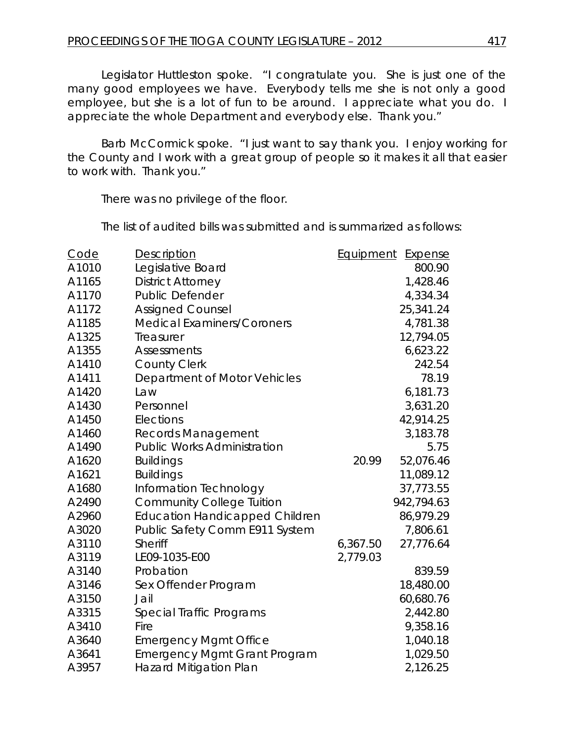Legislator Huttleston spoke. "I congratulate you. She is just one of the many good employees we have. Everybody tells me she is not only a good employee, but she is a lot of fun to be around. I appreciate what you do. I appreciate the whole Department and everybody else. Thank you."

Barb McCormick spoke. "I just want to say thank you. I enjoy working for the County and I work with a great group of people so it makes it all that easier to work with. Thank you."

There was no privilege of the floor.

The list of audited bills was submitted and is summarized as follows:

| Code  | <b>Description</b>                    | Equipment | Expense    |
|-------|---------------------------------------|-----------|------------|
| A1010 | Legislative Board                     |           | 800.90     |
| A1165 | <b>District Attorney</b>              |           | 1,428.46   |
| A1170 | <b>Public Defender</b>                |           | 4,334.34   |
| A1172 | <b>Assigned Counsel</b>               |           | 25,341.24  |
| A1185 | <b>Medical Examiners/Coroners</b>     |           | 4,781.38   |
| A1325 | Treasurer                             |           | 12,794.05  |
| A1355 | <b>Assessments</b>                    |           | 6,623.22   |
| A1410 | <b>County Clerk</b>                   |           | 242.54     |
| A1411 | Department of Motor Vehicles          |           | 78.19      |
| A1420 | Law                                   |           | 6,181.73   |
| A1430 | Personnel                             |           | 3,631.20   |
| A1450 | Elections                             |           | 42,914.25  |
| A1460 | <b>Records Management</b>             |           | 3,183.78   |
| A1490 | <b>Public Works Administration</b>    |           | 5.75       |
| A1620 | <b>Buildings</b>                      | 20.99     | 52,076.46  |
| A1621 | <b>Buildings</b>                      |           | 11,089.12  |
| A1680 | Information Technology                |           | 37,773.55  |
| A2490 | <b>Community College Tuition</b>      |           | 942,794.63 |
| A2960 | <b>Education Handicapped Children</b> |           | 86,979.29  |
| A3020 | Public Safety Comm E911 System        |           | 7,806.61   |
| A3110 | Sheriff                               | 6,367.50  | 27,776.64  |
| A3119 | LE09-1035-E00                         | 2,779.03  |            |
| A3140 | Probation                             |           | 839.59     |
| A3146 | Sex Offender Program                  |           | 18,480.00  |
| A3150 | Jail                                  |           | 60,680.76  |
| A3315 | Special Traffic Programs              |           | 2,442.80   |
| A3410 | Fire                                  |           | 9,358.16   |
| A3640 | <b>Emergency Mgmt Office</b>          |           | 1,040.18   |
| A3641 | <b>Emergency Mgmt Grant Program</b>   |           | 1,029.50   |
| A3957 | <b>Hazard Mitigation Plan</b>         |           | 2,126.25   |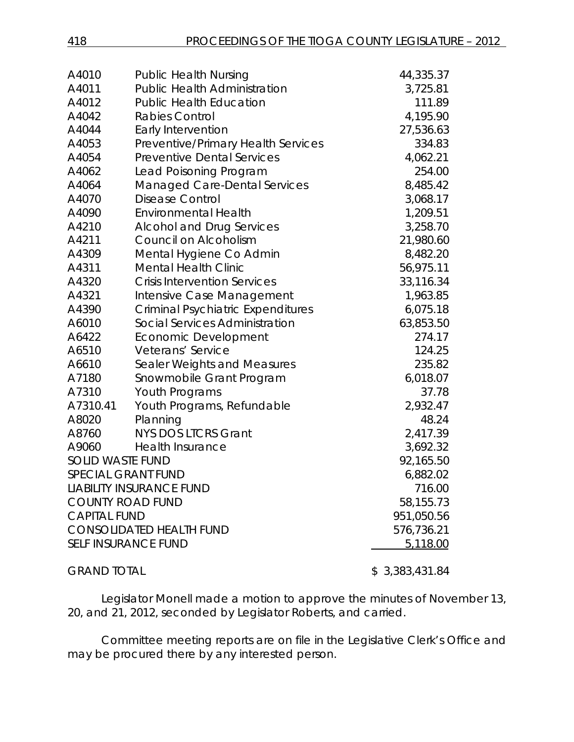| A4010                           | <b>Public Health Nursing</b>             | 44,335.37      |
|---------------------------------|------------------------------------------|----------------|
| A4011                           | <b>Public Health Administration</b>      | 3,725.81       |
| A4012                           | <b>Public Health Education</b>           | 111.89         |
| A4042                           | <b>Rabies Control</b>                    | 4,195.90       |
| A4044                           | Early Intervention                       | 27,536.63      |
| A4053                           | Preventive/Primary Health Services       | 334.83         |
| A4054                           | <b>Preventive Dental Services</b>        | 4,062.21       |
| A4062                           | Lead Poisoning Program                   | 254.00         |
| A4064                           | <b>Managed Care-Dental Services</b>      | 8,485.42       |
| A4070                           | <b>Disease Control</b>                   | 3,068.17       |
| A4090                           | <b>Environmental Health</b>              | 1,209.51       |
| A4210                           | <b>Alcohol and Drug Services</b>         | 3,258.70       |
| A4211                           | Council on Alcoholism                    | 21,980.60      |
| A4309                           | Mental Hygiene Co Admin                  | 8,482.20       |
| A4311                           | <b>Mental Health Clinic</b>              | 56,975.11      |
| A4320                           | <b>Crisis Intervention Services</b>      | 33,116.34      |
| A4321                           | Intensive Case Management                | 1,963.85       |
| A4390                           | <b>Criminal Psychiatric Expenditures</b> | 6,075.18       |
| A6010                           | <b>Social Services Administration</b>    | 63,853.50      |
| A6422                           | <b>Economic Development</b>              | 274.17         |
| A6510                           | Veterans' Service                        | 124.25         |
| A6610                           | Sealer Weights and Measures              | 235.82         |
| A7180                           | Snowmobile Grant Program                 | 6,018.07       |
| A7310                           | Youth Programs                           | 37.78          |
| A7310.41                        | Youth Programs, Refundable               | 2,932.47       |
| A8020                           | Planning                                 | 48.24          |
| A8760                           | <b>NYS DOS LTCRS Grant</b>               | 2,417.39       |
| A9060                           | <b>Health Insurance</b>                  | 3,692.32       |
| <b>SOLID WASTE FUND</b>         |                                          | 92,165.50      |
| <b>SPECIAL GRANT FUND</b>       |                                          | 6,882.02       |
|                                 | <b>LIABILITY INSURANCE FUND</b>          | 716.00         |
| <b>COUNTY ROAD FUND</b>         |                                          | 58,155.73      |
| <b>CAPITAL FUND</b>             |                                          | 951,050.56     |
| <b>CONSOLIDATED HEALTH FUND</b> |                                          | 576,736.21     |
|                                 | <b>SELF INSURANCE FUND</b>               | 5,118.00       |
| <b>GRAND TOTAL</b>              |                                          | \$3,383,431.84 |

Legislator Monell made a motion to approve the minutes of November 13, 20, and 21, 2012, seconded by Legislator Roberts, and carried.

Committee meeting reports are on file in the Legislative Clerk's Office and may be procured there by any interested person.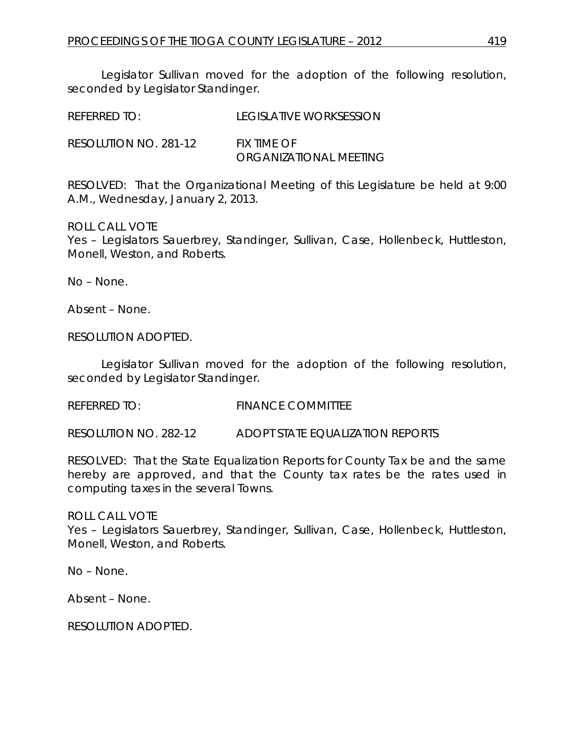Legislator Sullivan moved for the adoption of the following resolution, seconded by Legislator Standinger.

| REFERRED TO:          | LEGISLATIVE WORKSESSION               |
|-----------------------|---------------------------------------|
| RESOLUTION NO. 281-12 | FIX TIME OF<br>ORGANIZATIONAL MEETING |

RESOLVED: That the Organizational Meeting of this Legislature be held at 9:00 A.M., Wednesday, January 2, 2013.

#### ROLL CALL VOTE

Yes – Legislators Sauerbrey, Standinger, Sullivan, Case, Hollenbeck, Huttleston, Monell, Weston, and Roberts.

No – None.

Absent – None.

RESOLUTION ADOPTED.

Legislator Sullivan moved for the adoption of the following resolution, seconded by Legislator Standinger.

REFERRED TO: FINANCE COMMITTEE

RESOLUTION NO. 282-12 *ADOPT STATE EQUALIZATION REPORTS*

RESOLVED: That the State Equalization Reports for County Tax be and the same hereby are approved, and that the County tax rates be the rates used in computing taxes in the several Towns.

ROLL CALL VOTE Yes – Legislators Sauerbrey, Standinger, Sullivan, Case, Hollenbeck, Huttleston, Monell, Weston, and Roberts.

No – None.

Absent – None.

RESOLUTION ADOPTED.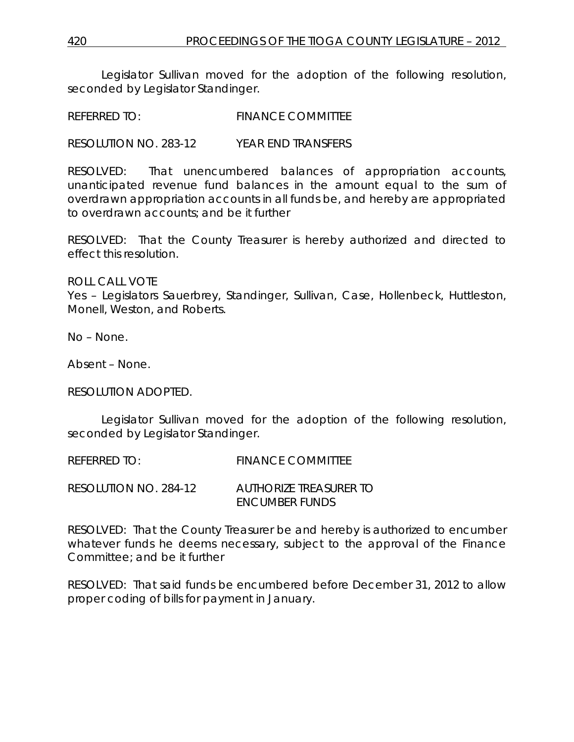Legislator Sullivan moved for the adoption of the following resolution, seconded by Legislator Standinger.

REFERRED TO: FINANCE COMMITTEE

RESOLUTION NO. 283-12 *YEAR END TRANSFERS*

RESOLVED: That unencumbered balances of appropriation accounts, unanticipated revenue fund balances in the amount equal to the sum of overdrawn appropriation accounts in all funds be, and hereby are appropriated to overdrawn accounts; and be it further

RESOLVED: That the County Treasurer is hereby authorized and directed to effect this resolution.

ROLL CALL VOTE

Yes – Legislators Sauerbrey, Standinger, Sullivan, Case, Hollenbeck, Huttleston, Monell, Weston, and Roberts.

No – None.

Absent – None.

RESOLUTION ADOPTED.

Legislator Sullivan moved for the adoption of the following resolution, seconded by Legislator Standinger.

REFERRED TO: FINANCE COMMITTEE

RESOLUTION NO. 284-12 *AUTHORIZE TREASURER TO ENCUMBER FUNDS*

RESOLVED: That the County Treasurer be and hereby is authorized to encumber whatever funds he deems necessary, subject to the approval of the Finance Committee; and be it further

RESOLVED: That said funds be encumbered before December 31, 2012 to allow proper coding of bills for payment in January.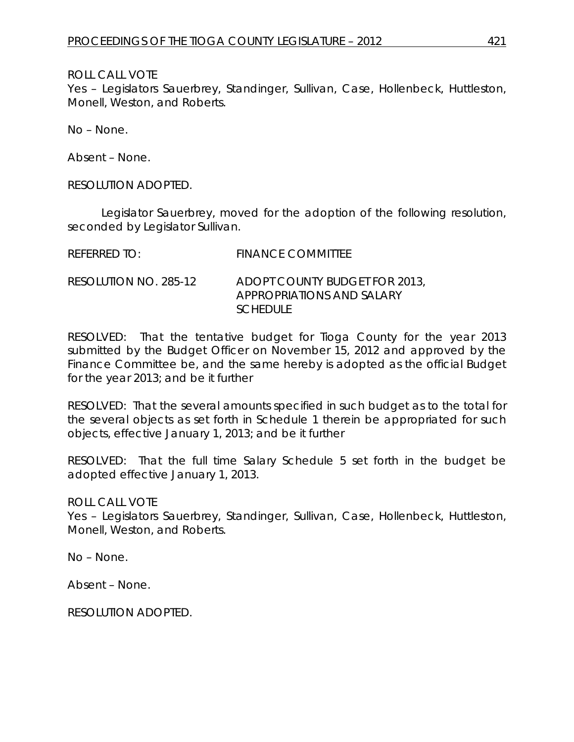ROLL CALL VOTE

Yes – Legislators Sauerbrey, Standinger, Sullivan, Case, Hollenbeck, Huttleston, Monell, Weston, and Roberts.

No – None.

Absent – None.

RESOLUTION ADOPTED.

Legislator Sauerbrey, moved for the adoption of the following resolution, seconded by Legislator Sullivan.

| REFERRED TO:          | <b>FINANCE COMMITTEE</b>                                                      |
|-----------------------|-------------------------------------------------------------------------------|
| RESOLUTION NO. 285-12 | ADOPT COUNTY BUDGET FOR 2013,<br>APPROPRIATIONS AND SALARY<br><i>SCHEDULE</i> |

RESOLVED: That the tentative budget for Tioga County for the year 2013 submitted by the Budget Officer on November 15, 2012 and approved by the Finance Committee be, and the same hereby is adopted as the official Budget for the year 2013; and be it further

RESOLVED: That the several amounts specified in such budget as to the total for the several objects as set forth in Schedule 1 therein be appropriated for such objects, effective January 1, 2013; and be it further

RESOLVED: That the full time Salary Schedule 5 set forth in the budget be adopted effective January 1, 2013.

ROLL CALL VOTE

Yes – Legislators Sauerbrey, Standinger, Sullivan, Case, Hollenbeck, Huttleston, Monell, Weston, and Roberts.

No – None.

Absent – None.

RESOLUTION ADOPTED.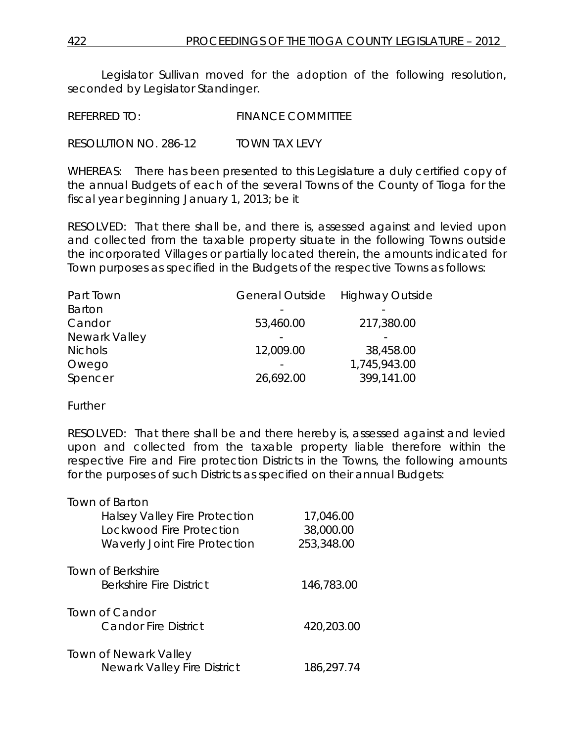Legislator Sullivan moved for the adoption of the following resolution, seconded by Legislator Standinger.

REFERRED TO: FINANCE COMMITTEE

RESOLUTION NO. 286-12 *TOWN TAX LEVY*

WHEREAS: There has been presented to this Legislature a duly certified copy of the annual Budgets of each of the several Towns of the County of Tioga for the fiscal year beginning January 1, 2013; be it

RESOLVED: That there shall be, and there is, assessed against and levied upon and collected from the taxable property situate in the following Towns outside the incorporated Villages or partially located therein, the amounts indicated for Town purposes as specified in the Budgets of the respective Towns as follows:

| Part Town      | <b>General Outside</b> | <b>Highway Outside</b> |
|----------------|------------------------|------------------------|
| Barton         |                        |                        |
| Candor         | 53,460.00              | 217,380.00             |
| Newark Valley  |                        |                        |
| <b>Nichols</b> | 12,009.00              | 38,458.00              |
| Owego          |                        | 1,745,943.00           |
| Spencer        | 26,692.00              | 399,141.00             |

**Further** 

RESOLVED: That there shall be and there hereby is, assessed against and levied upon and collected from the taxable property liable therefore within the respective Fire and Fire protection Districts in the Towns, the following amounts for the purposes of such Districts as specified on their annual Budgets:

| <b>Town of Barton</b>                |            |
|--------------------------------------|------------|
| <b>Halsey Valley Fire Protection</b> | 17,046.00  |
| Lockwood Fire Protection             | 38,000.00  |
| <b>Waverly Joint Fire Protection</b> | 253,348.00 |
|                                      |            |
| <b>Town of Berkshire</b>             |            |
| <b>Berkshire Fire District</b>       | 146,783.00 |
| Town of Candor                       |            |
| <b>Candor Fire District</b>          | 420,203.00 |
|                                      |            |
| <b>Town of Newark Valley</b>         |            |
| <b>Newark Valley Fire District</b>   | 186,297.74 |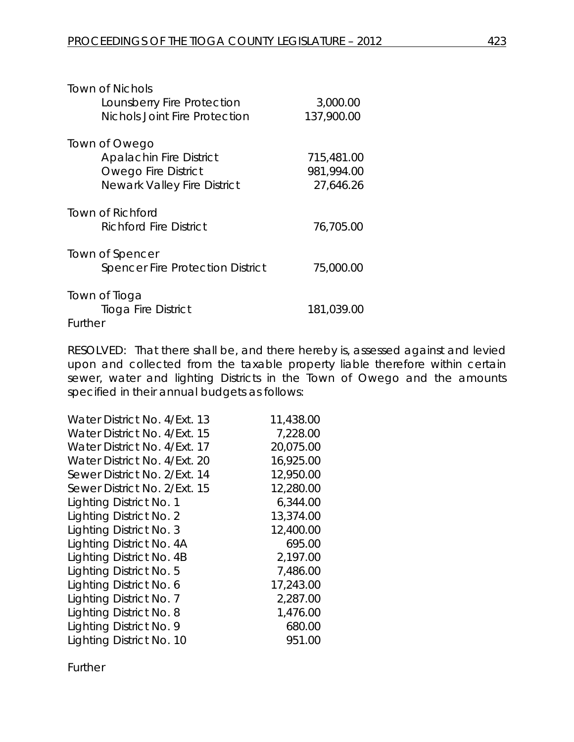| Town of Nichols                         |            |
|-----------------------------------------|------------|
| Lounsberry Fire Protection              | 3,000.00   |
| Nichols Joint Fire Protection           | 137,900.00 |
| Town of Owego                           |            |
| <b>Apalachin Fire District</b>          | 715,481.00 |
| <b>Owego Fire District</b>              | 981,994.00 |
| <b>Newark Valley Fire District</b>      | 27,646.26  |
| Town of Richford                        |            |
| Richford Fire District                  | 76,705.00  |
| Town of Spencer                         |            |
| <b>Spencer Fire Protection District</b> | 75,000.00  |
| Town of Tioga                           |            |
| <b>Tioga Fire District</b>              | 181,039.00 |
| Further                                 |            |

RESOLVED: That there shall be, and there hereby is, assessed against and levied upon and collected from the taxable property liable therefore within certain sewer, water and lighting Districts in the Town of Owego and the amounts specified in their annual budgets as follows:

| Water District No. 4/Ext. 13 | 11,438.00 |
|------------------------------|-----------|
| Water District No. 4/Ext. 15 | 7,228.00  |
| Water District No. 4/Ext. 17 | 20,075.00 |
| Water District No. 4/Ext. 20 | 16,925.00 |
| Sewer District No. 2/Ext. 14 | 12,950.00 |
| Sewer District No. 2/Ext. 15 | 12,280.00 |
| Lighting District No. 1      | 6,344.00  |
| Lighting District No. 2      | 13,374.00 |
| Lighting District No. 3      | 12,400.00 |
| Lighting District No. 4A     | 695.00    |
| Lighting District No. 4B     | 2,197.00  |
| Lighting District No. 5      | 7,486.00  |
| Lighting District No. 6      | 17,243.00 |
| Lighting District No. 7      | 2,287.00  |
| Lighting District No. 8      | 1,476.00  |
| Lighting District No. 9      | 680.00    |
| Lighting District No. 10     | 951.00    |

Further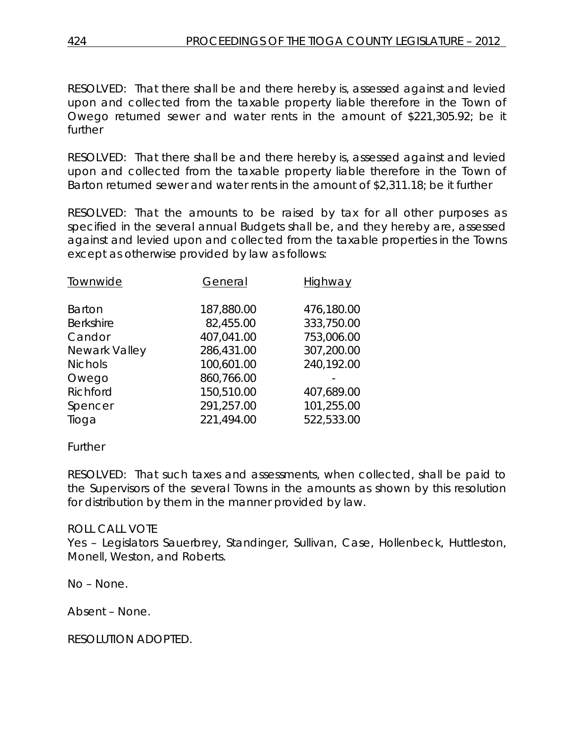RESOLVED: That there shall be and there hereby is, assessed against and levied upon and collected from the taxable property liable therefore in the Town of Owego returned sewer and water rents in the amount of \$221,305.92; be it further

RESOLVED: That there shall be and there hereby is, assessed against and levied upon and collected from the taxable property liable therefore in the Town of Barton returned sewer and water rents in the amount of \$2,311.18; be it further

RESOLVED: That the amounts to be raised by tax for all other purposes as specified in the several annual Budgets shall be, and they hereby are, assessed against and levied upon and collected from the taxable properties in the Towns except as otherwise provided by law as follows:

| Townwide         | General    | Highway    |
|------------------|------------|------------|
| <b>Barton</b>    | 187,880.00 | 476,180.00 |
| <b>Berkshire</b> | 82,455.00  | 333,750.00 |
| Candor           | 407,041.00 | 753,006.00 |
| Newark Valley    | 286,431.00 | 307,200.00 |
| <b>Nichols</b>   | 100,601.00 | 240,192.00 |
| Owego            | 860,766.00 |            |
| Richford         | 150,510.00 | 407,689.00 |
| Spencer          | 291,257.00 | 101,255.00 |
| Tioga            | 221,494.00 | 522,533.00 |
|                  |            |            |

# Further

RESOLVED: That such taxes and assessments, when collected, shall be paid to the Supervisors of the several Towns in the amounts as shown by this resolution for distribution by them in the manner provided by law.

#### ROLL CALL VOTE

Yes – Legislators Sauerbrey, Standinger, Sullivan, Case, Hollenbeck, Huttleston, Monell, Weston, and Roberts.

No – None.

Absent – None.

RESOLUTION ADOPTED.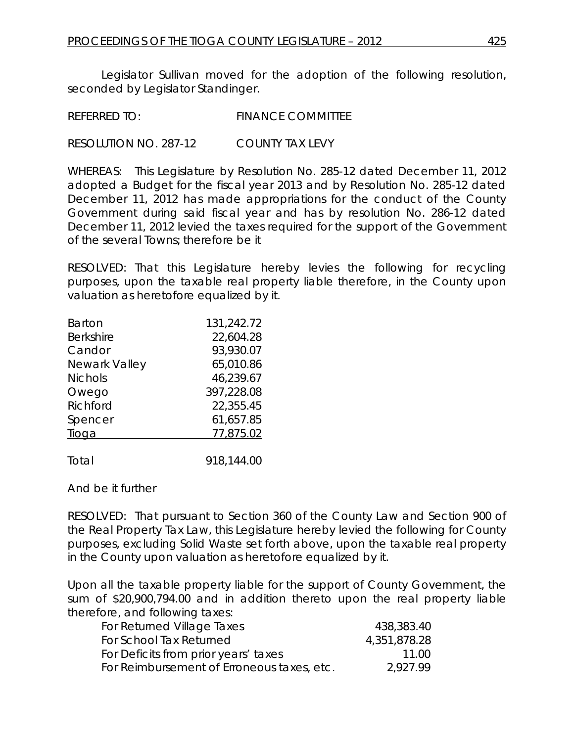Legislator Sullivan moved for the adoption of the following resolution, seconded by Legislator Standinger.

REFERRED TO: FINANCE COMMITTEE

RESOLUTION NO. 287-12 *COUNTY TAX LEVY*

WHEREAS: This Legislature by Resolution No. 285-12 dated December 11, 2012 adopted a Budget for the fiscal year 2013 and by Resolution No. 285-12 dated December 11, 2012 has made appropriations for the conduct of the County Government during said fiscal year and has by resolution No. 286-12 dated December 11, 2012 levied the taxes required for the support of the Government of the several Towns; therefore be it

RESOLVED: That this Legislature hereby levies the following for recycling purposes, upon the taxable real property liable therefore, in the County upon valuation as heretofore equalized by it.

| <b>Barton</b>    | 131,242.72 |
|------------------|------------|
| <b>Berkshire</b> | 22,604.28  |
| Candor           | 93,930.07  |
| Newark Valley    | 65,010.86  |
| <b>Nichols</b>   | 46,239.67  |
| Owego            | 397,228.08 |
| Richford         | 22,355.45  |
| Spencer          | 61,657.85  |
| Tioga            | 77,875.02  |
|                  |            |
| Total            | 918,144.00 |

And be it further

RESOLVED: That pursuant to Section 360 of the County Law and Section 900 of the Real Property Tax Law, this Legislature hereby levied the following for County purposes, excluding Solid Waste set forth above, upon the taxable real property in the County upon valuation as heretofore equalized by it.

Upon all the taxable property liable for the support of County Government, the sum of \$20,900,794.00 and in addition thereto upon the real property liable therefore, and following taxes:

| For Returned Village Taxes                 | 438,383.40   |
|--------------------------------------------|--------------|
| For School Tax Returned                    | 4,351,878.28 |
| For Deficits from prior years' taxes       | 11.00        |
| For Reimbursement of Erroneous taxes, etc. | 2.927.99     |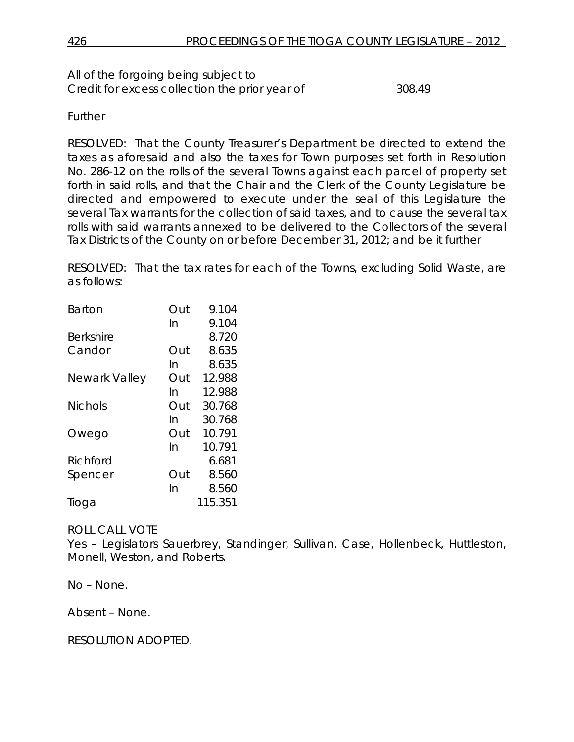All of the forgoing being subject to Credit for excess collection the prior year of 308.49

Further

RESOLVED: That the County Treasurer's Department be directed to extend the taxes as aforesaid and also the taxes for Town purposes set forth in Resolution No. 286-12 on the rolls of the several Towns against each parcel of property set forth in said rolls, and that the Chair and the Clerk of the County Legislature be directed and empowered to execute under the seal of this Legislature the several Tax warrants for the collection of said taxes, and to cause the several tax rolls with said warrants annexed to be delivered to the Collectors of the several Tax Districts of the County on or before December 31, 2012; and be it further

RESOLVED: That the tax rates for each of the Towns, excluding Solid Waste, are as follows:

| <b>Barton</b>  | Out | 9.104   |
|----------------|-----|---------|
|                | In  | 9.104   |
| Berkshire      |     | 8.720   |
| Candor         | Out | 8.635   |
|                | In  | 8.635   |
| Newark Valley  | Out | 12.988  |
|                | In  | 12.988  |
| <b>Nichols</b> | Out | 30.768  |
|                | In  | 30.768  |
| Owego          | Out | 10.791  |
|                | In  | 10.791  |
| Richford       |     | 6.681   |
| Spencer        | Out | 8.560   |
|                | In  | 8.560   |
| Tioga          |     | 115.351 |

# ROLL CALL VOTE

Yes – Legislators Sauerbrey, Standinger, Sullivan, Case, Hollenbeck, Huttleston, Monell, Weston, and Roberts.

No – None.

Absent – None.

RESOLUTION ADOPTED.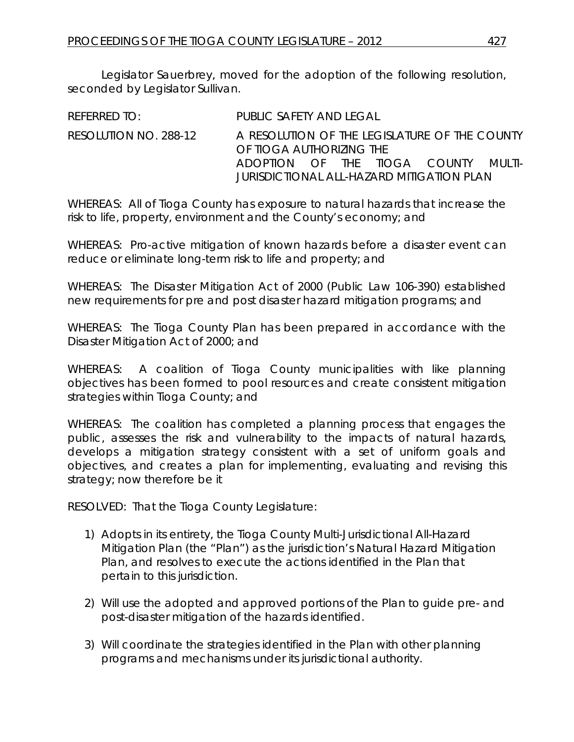Legislator Sauerbrey, moved for the adoption of the following resolution, seconded by Legislator Sullivan.

| REFERRED TO:          | PUBLIC SAFETY AND LEGAL                                                   |  |  |  |
|-----------------------|---------------------------------------------------------------------------|--|--|--|
| RESOLUTION NO. 288-12 | A RESOLUTION OF THE LEGISLATURE OF THE COUNTY<br>OF TIOGA AUTHORIZING THE |  |  |  |
|                       | ADOPTION OF THE TIOGA COUNTY MULTI-                                       |  |  |  |
|                       | JURISDICTIONAL ALL-HAZARD MITIGATION PLAN                                 |  |  |  |

WHEREAS: All of Tioga County has exposure to natural hazards that increase the risk to life, property, environment and the County's economy; and

WHEREAS: Pro-active mitigation of known hazards before a disaster event can reduce or eliminate long-term risk to life and property; and

WHEREAS: The Disaster Mitigation Act of 2000 (Public Law 106-390) established new requirements for pre and post disaster hazard mitigation programs; and

WHEREAS: The Tioga County Plan has been prepared in accordance with the Disaster Mitigation Act of 2000; and

WHEREAS: A coalition of Tioga County municipalities with like planning objectives has been formed to pool resources and create consistent mitigation strategies within Tioga County; and

WHEREAS: The coalition has completed a planning process that engages the public, assesses the risk and vulnerability to the impacts of natural hazards, develops a mitigation strategy consistent with a set of uniform goals and objectives, and creates a plan for implementing, evaluating and revising this strategy; now therefore be it

RESOLVED: That the Tioga County Legislature:

- 1) Adopts in its entirety, the Tioga County Multi-Jurisdictional All-Hazard Mitigation Plan (the "Plan") as the jurisdiction's Natural Hazard Mitigation Plan, and resolves to execute the actions identified in the Plan that pertain to this jurisdiction.
- 2) Will use the adopted and approved portions of the Plan to guide pre- and post-disaster mitigation of the hazards identified.
- 3) Will coordinate the strategies identified in the Plan with other planning programs and mechanisms under its jurisdictional authority.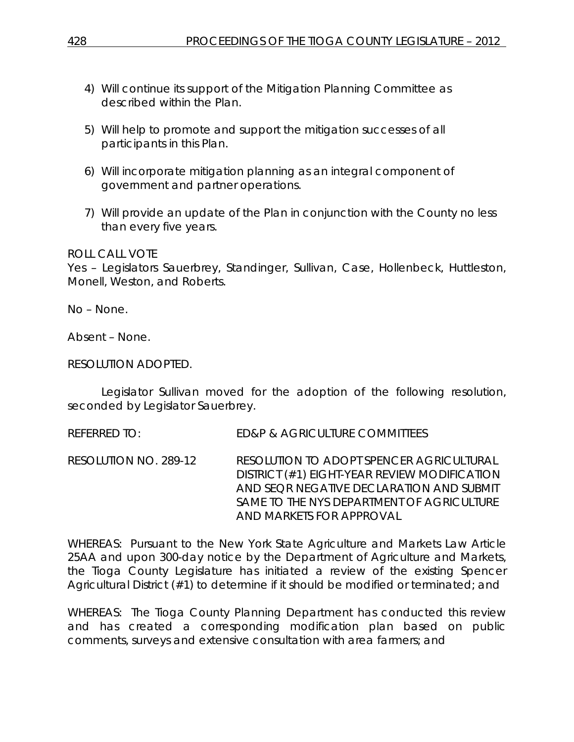- 4) Will continue its support of the Mitigation Planning Committee as described within the Plan.
- 5) Will help to promote and support the mitigation successes of all participants in this Plan.
- 6) Will incorporate mitigation planning as an integral component of government and partner operations.
- 7) Will provide an update of the Plan in conjunction with the County no less than every five years.

# ROLL CALL VOTE

Yes – Legislators Sauerbrey, Standinger, Sullivan, Case, Hollenbeck, Huttleston, Monell, Weston, and Roberts.

No – None.

Absent – None.

### RESOLUTION ADOPTED.

Legislator Sullivan moved for the adoption of the following resolution, seconded by Legislator Sauerbrey.

REFERRED TO: ED&P & AGRICULTURE COMMITTEES

RESOLUTION NO. 289-12 *RESOLUTION TO ADOPT SPENCER AGRICULTURAL DISTRICT (#1) EIGHT-YEAR REVIEW MODIFICATION AND SEQR NEGATIVE DECLARATION AND SUBMIT SAME TO THE NYS DEPARTMENT OF AGRICULTURE AND MARKETS FOR APPROVAL* 

WHEREAS: Pursuant to the New York State Agriculture and Markets Law Article 25AA and upon 300-day notice by the Department of Agriculture and Markets, the Tioga County Legislature has initiated a review of the existing Spencer Agricultural District (#1) to determine if it should be modified or terminated; and

WHEREAS: The Tioga County Planning Department has conducted this review and has created a corresponding modification plan based on public comments, surveys and extensive consultation with area farmers; and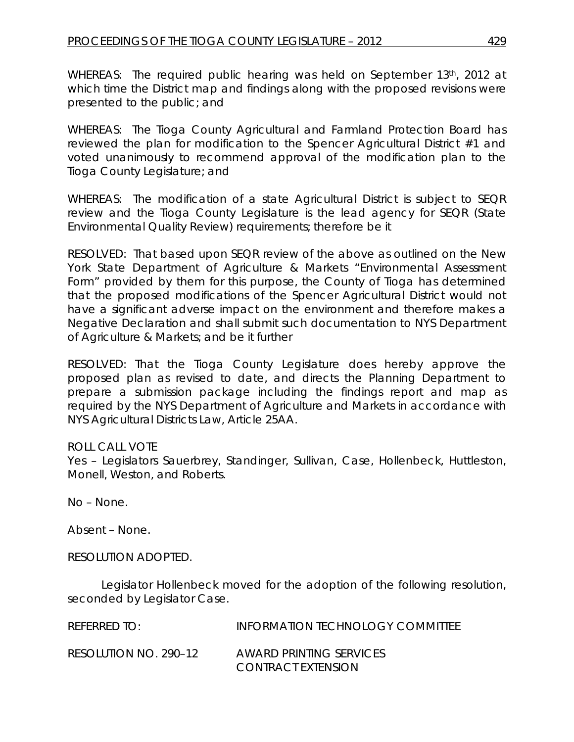WHEREAS: The required public hearing was held on September 13th, 2012 at which time the District map and findings along with the proposed revisions were presented to the public; and

WHEREAS: The Tioga County Agricultural and Farmland Protection Board has reviewed the plan for modification to the Spencer Agricultural District #1 and voted unanimously to recommend approval of the modification plan to the Tioga County Legislature; and

WHEREAS: The modification of a state Agricultural District is subject to SEQR review and the Tioga County Legislature is the lead agency for SEQR (State Environmental Quality Review) requirements; therefore be it

RESOLVED: That based upon SEQR review of the above as outlined on the New York State Department of Agriculture & Markets "Environmental Assessment Form" provided by them for this purpose, the County of Tioga has determined that the proposed modifications of the Spencer Agricultural District would not have a significant adverse impact on the environment and therefore makes a Negative Declaration and shall submit such documentation to NYS Department of Agriculture & Markets; and be it further

RESOLVED: That the Tioga County Legislature does hereby approve the proposed plan as revised to date, and directs the Planning Department to prepare a submission package including the findings report and map as required by the NYS Department of Agriculture and Markets in accordance with NYS Agricultural Districts Law, Article 25AA.

# ROLL CALL VOTE

Yes – Legislators Sauerbrey, Standinger, Sullivan, Case, Hollenbeck, Huttleston, Monell, Weston, and Roberts.

No – None.

Absent – None.

RESOLUTION ADOPTED.

Legislator Hollenbeck moved for the adoption of the following resolution, seconded by Legislator Case.

| REFERRED TO:          | <b>INFORMATION TECHNOLOGY COMMITTEE</b>       |
|-----------------------|-----------------------------------------------|
| RESOLUTION NO. 290-12 | AWARD PRINTING SERVICES<br>CONTRACT EXTENSION |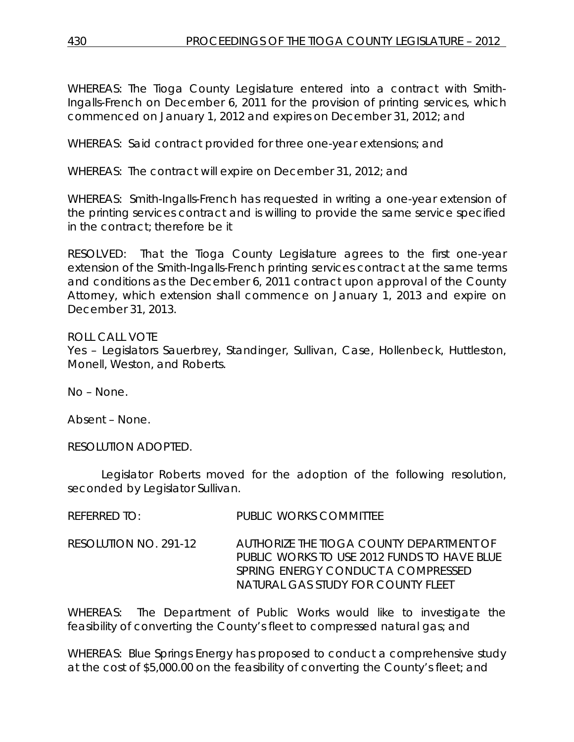WHEREAS: The Tioga County Legislature entered into a contract with Smith-Ingalls-French on December 6, 2011 for the provision of printing services, which commenced on January 1, 2012 and expires on December 31, 2012; and

WHEREAS: Said contract provided for three one-year extensions; and

WHEREAS: The contract will expire on December 31, 2012; and

WHEREAS: Smith-Ingalls-French has requested in writing a one-year extension of the printing services contract and is willing to provide the same service specified in the contract; therefore be it

RESOLVED: That the Tioga County Legislature agrees to the first one-year extension of the Smith-Ingalls-French printing services contract at the same terms and conditions as the December 6, 2011 contract upon approval of the County Attorney, which extension shall commence on January 1, 2013 and expire on December 31, 2013.

ROLL CALL VOTE Yes – Legislators Sauerbrey, Standinger, Sullivan, Case, Hollenbeck, Huttleston, Monell, Weston, and Roberts.

No – None.

Absent – None.

RESOLUTION ADOPTED.

Legislator Roberts moved for the adoption of the following resolution, seconded by Legislator Sullivan.

| <b>REFERRED TO:</b> | <b>PUBLIC WORKS COMMITTEE</b> |
|---------------------|-------------------------------|
|                     |                               |

RESOLUTION NO. 291-12 *AUTHORIZE THE TIOGA COUNTY DEPARTMENT OF PUBLIC WORKS TO USE 2012 FUNDS TO HAVE BLUE SPRING ENERGY CONDUCT A COMPRESSED NATURAL GAS STUDY FOR COUNTY FLEET*

WHEREAS: The Department of Public Works would like to investigate the feasibility of converting the County's fleet to compressed natural gas; and

WHEREAS: Blue Springs Energy has proposed to conduct a comprehensive study at the cost of \$5,000.00 on the feasibility of converting the County's fleet; and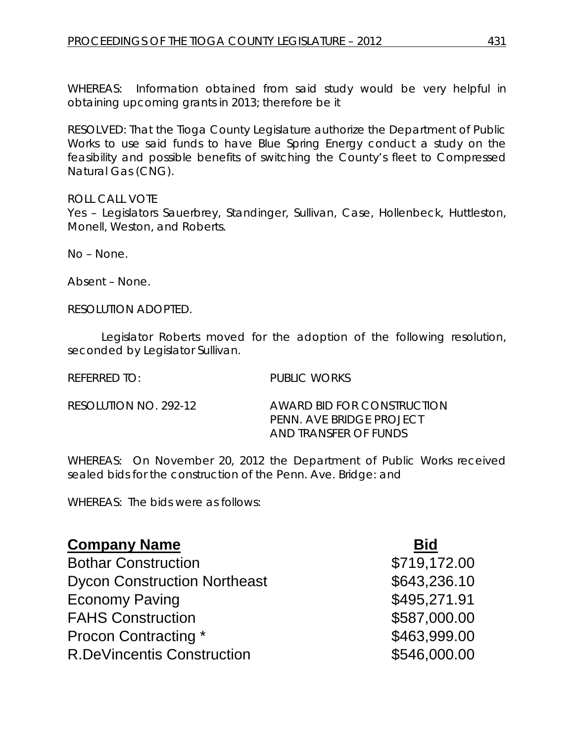WHEREAS: Information obtained from said study would be very helpful in obtaining upcoming grants in 2013; therefore be it

RESOLVED: That the Tioga County Legislature authorize the Department of Public Works to use said funds to have Blue Spring Energy conduct a study on the feasibility and possible benefits of switching the County's fleet to Compressed Natural Gas (CNG).

ROLL CALL VOTE

Yes - Legislators Sauerbrey, Standinger, Sullivan, Case, Hollenbeck, Huttleston, Monell, Weston, and Roberts.

No – None.

Absent – None.

RESOLUTION ADOPTED.

Legislator Roberts moved for the adoption of the following resolution, seconded by Legislator Sullivan.

REFERRED TO: PUBLIC WORKS

RESOLUTION NO. 292-12 *AWARD BID FOR CONSTRUCTION PENN. AVE BRIDGE PROJECT AND TRANSFER OF FUNDS*

WHEREAS: On November 20, 2012 the Department of Public Works received sealed bids for the construction of the Penn. Ave. Bridge: and

WHEREAS: The bids were as follows:

| <b>Company Name</b>                 | <b>Bid</b>   |
|-------------------------------------|--------------|
| <b>Bothar Construction</b>          | \$719,172.00 |
| <b>Dycon Construction Northeast</b> | \$643,236.10 |
| <b>Economy Paving</b>               | \$495,271.91 |
| <b>FAHS Construction</b>            | \$587,000.00 |
| <b>Procon Contracting *</b>         | \$463,999.00 |
| <b>R.DeVincentis Construction</b>   | \$546,000.00 |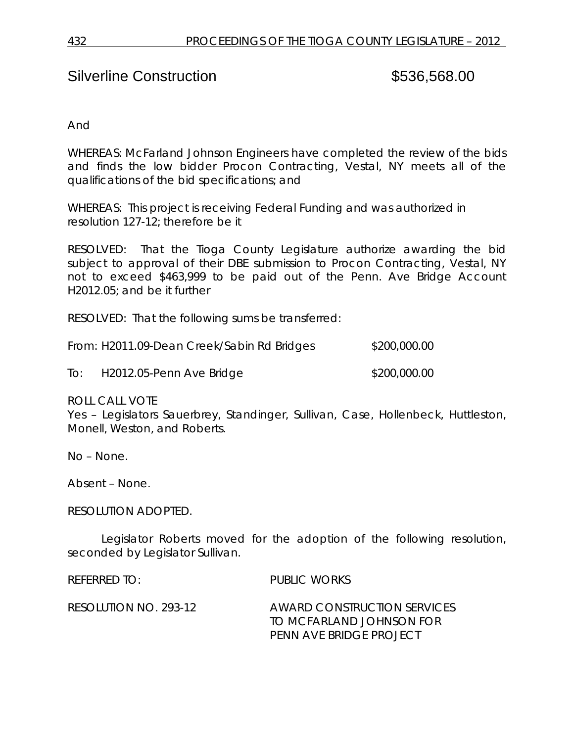# Silverline Construction  $$536,568.00$

And

WHEREAS: McFarland Johnson Engineers have completed the review of the bids and finds the low bidder Procon Contracting, Vestal, NY meets all of the qualifications of the bid specifications; and

WHEREAS: This project is receiving Federal Funding and was authorized in resolution 127-12; therefore be it

RESOLVED: That the Tioga County Legislature authorize awarding the bid subject to approval of their DBE submission to Procon Contracting, Vestal, NY not to exceed \$463,999 to be paid out of the Penn. Ave Bridge Account H2012.05; and be it further

RESOLVED: That the following sums be transferred:

| From: H2011.09-Dean Creek/Sabin Rd Bridges | \$200,000.00 |
|--------------------------------------------|--------------|
|--------------------------------------------|--------------|

To: H2012.05-Penn Ave Bridge \$200,000.00

ROLL CALL VOTE

Yes – Legislators Sauerbrey, Standinger, Sullivan, Case, Hollenbeck, Huttleston, Monell, Weston, and Roberts.

No – None.

Absent – None.

RESOLUTION ADOPTED.

Legislator Roberts moved for the adoption of the following resolution, seconded by Legislator Sullivan.

REFERRED TO: PUBLIC WORKS

RESOLUTION NO. 293-12 *AWARD CONSTRUCTION SERVICES TO MCFARLAND JOHNSON FOR PENN AVE BRIDGE PROJECT*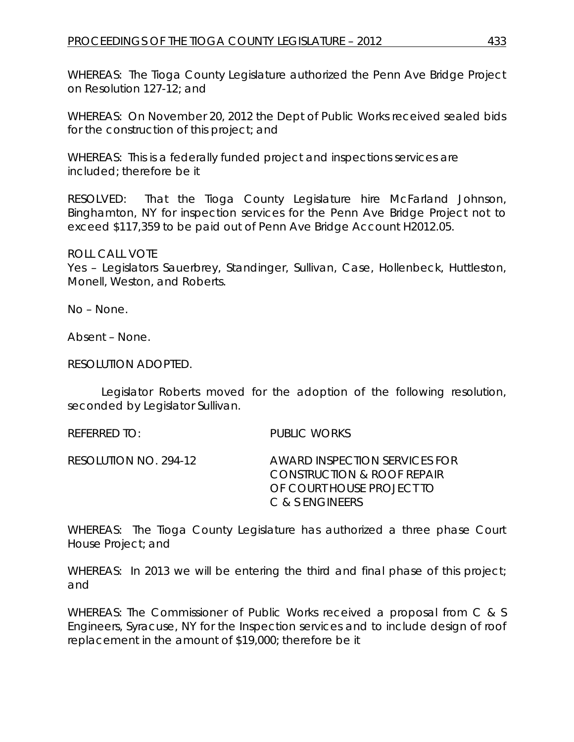WHEREAS: The Tioga County Legislature authorized the Penn Ave Bridge Project on Resolution 127-12; and

WHEREAS: On November 20, 2012 the Dept of Public Works received sealed bids for the construction of this project; and

WHEREAS: This is a federally funded project and inspections services are included; therefore be it

RESOLVED: That the Tioga County Legislature hire McFarland Johnson, Binghamton, NY for inspection services for the Penn Ave Bridge Project not to exceed \$117,359 to be paid out of Penn Ave Bridge Account H2012.05.

ROLL CALL VOTE

Yes – Legislators Sauerbrey, Standinger, Sullivan, Case, Hollenbeck, Huttleston, Monell, Weston, and Roberts.

No – None.

Absent – None.

RESOLUTION ADOPTED.

Legislator Roberts moved for the adoption of the following resolution, seconded by Legislator Sullivan.

REFERRED TO: PUBLIC WORKS

RESOLUTION NO. 294-12 *AWARD INSPECTION SERVICES FOR CONSTRUCTION & ROOF REPAIR OF COURT HOUSE PROJECT TO C & S ENGINEERS*

WHEREAS: The Tioga County Legislature has authorized a three phase Court House Project; and

WHEREAS: In 2013 we will be entering the third and final phase of this project; and

WHEREAS: The Commissioner of Public Works received a proposal from C & S Engineers, Syracuse, NY for the Inspection services and to include design of roof replacement in the amount of \$19,000; therefore be it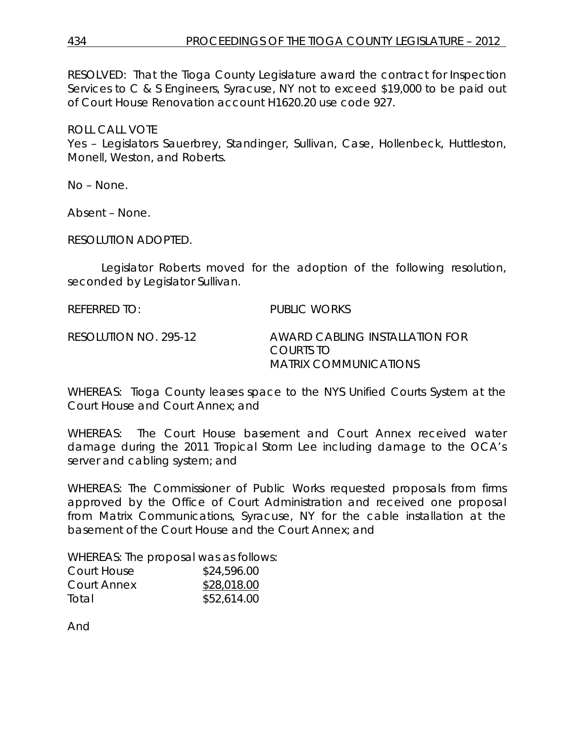RESOLVED: That the Tioga County Legislature award the contract for Inspection Services to C & S Engineers, Syracuse, NY not to exceed \$19,000 to be paid out of Court House Renovation account H1620.20 use code 927.

ROLL CALL VOTE

Yes – Legislators Sauerbrey, Standinger, Sullivan, Case, Hollenbeck, Huttleston, Monell, Weston, and Roberts.

No – None.

Absent – None.

RESOLUTION ADOPTED.

Legislator Roberts moved for the adoption of the following resolution, seconded by Legislator Sullivan.

REFERRED TO: PUBLIC WORKS

RESOLUTION NO. 295-12 *AWARD CABLING INSTALLATION FOR COURTS TO MATRIX COMMUNICATIONS*

WHEREAS: Tioga County leases space to the NYS Unified Courts System at the Court House and Court Annex; and

WHEREAS: The Court House basement and Court Annex received water damage during the 2011 Tropical Storm Lee including damage to the OCA's server and cabling system; and

WHEREAS: The Commissioner of Public Works requested proposals from firms approved by the Office of Court Administration and received one proposal from Matrix Communications, Syracuse, NY for the cable installation at the basement of the Court House and the Court Annex; and

WHEREAS: The proposal was as follows:

| Court House | \$24,596.00 |
|-------------|-------------|
| Court Annex | \$28,018.00 |
| Total       | \$52,614.00 |

And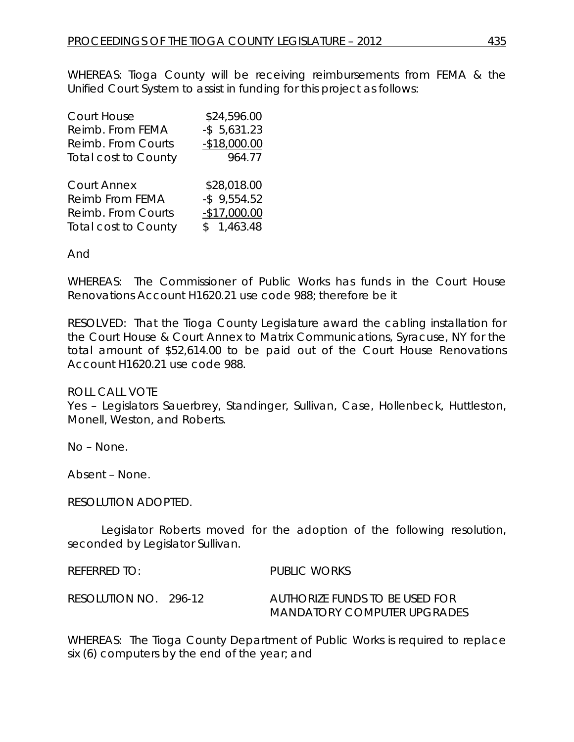WHEREAS: Tioga County will be receiving reimbursements from FEMA & the Unified Court System to assist in funding for this project as follows:

| Court House                 | \$24,596.00     |
|-----------------------------|-----------------|
| Reimb. From FEMA            | $-$ \$ 5,631.23 |
| Reimb. From Courts          | $-$18,000.00$   |
| <b>Total cost to County</b> | 964.77          |
|                             |                 |
| <b>Court Annex</b>          | \$28,018.00     |
| Reimb From FEMA             | $-$ \$ 9,554.52 |
| Reimb. From Courts          | $-$17,000.00$   |
| <b>Total cost to County</b> | \$1,463.48      |

#### And

WHEREAS: The Commissioner of Public Works has funds in the Court House Renovations Account H1620.21 use code 988; therefore be it

RESOLVED: That the Tioga County Legislature award the cabling installation for the Court House & Court Annex to Matrix Communications, Syracuse, NY for the total amount of \$52,614.00 to be paid out of the Court House Renovations Account H1620.21 use code 988.

#### ROLL CALL VOTE

Yes – Legislators Sauerbrey, Standinger, Sullivan, Case, Hollenbeck, Huttleston, Monell, Weston, and Roberts.

No – None.

Absent – None.

RESOLUTION ADOPTED.

Legislator Roberts moved for the adoption of the following resolution, seconded by Legislator Sullivan.

REFERRED TO: PUBLIC WORKS RESOLUTION NO. 296-12 *AUTHORIZE FUNDS TO BE USED FOR MANDATORY COMPUTER UPGRADES*

WHEREAS: The Tioga County Department of Public Works is required to replace six (6) computers by the end of the year; and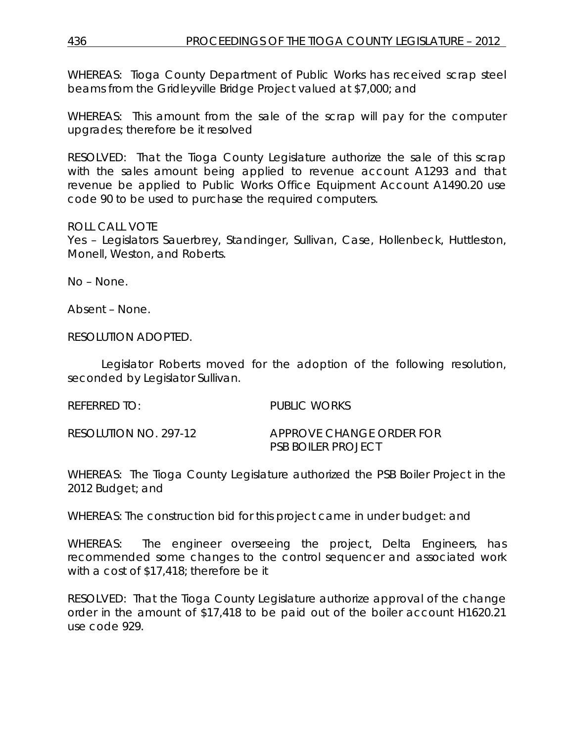WHEREAS: Tioga County Department of Public Works has received scrap steel beams from the Gridleyville Bridge Project valued at \$7,000; and

WHEREAS: This amount from the sale of the scrap will pay for the computer upgrades; therefore be it resolved

RESOLVED: That the Tioga County Legislature authorize the sale of this scrap with the sales amount being applied to revenue account A1293 and that revenue be applied to Public Works Office Equipment Account A1490.20 use code 90 to be used to purchase the required computers.

# ROLL CALL VOTE

Yes – Legislators Sauerbrey, Standinger, Sullivan, Case, Hollenbeck, Huttleston, Monell, Weston, and Roberts.

No – None.

Absent – None.

RESOLUTION ADOPTED.

Legislator Roberts moved for the adoption of the following resolution, seconded by Legislator Sullivan.

REFERRED TO: PUBLIC WORKS

RESOLUTION NO. 297-12 *APPROVE CHANGE ORDER FOR PSB BOILER PROJECT*

WHEREAS: The Tioga County Legislature authorized the PSB Boiler Project in the 2012 Budget; and

WHEREAS: The construction bid for this project came in under budget: and

WHEREAS: The engineer overseeing the project, Delta Engineers, has recommended some changes to the control sequencer and associated work with a cost of \$17,418; therefore be it

RESOLVED: That the Tioga County Legislature authorize approval of the change order in the amount of \$17,418 to be paid out of the boiler account H1620.21 use code 929.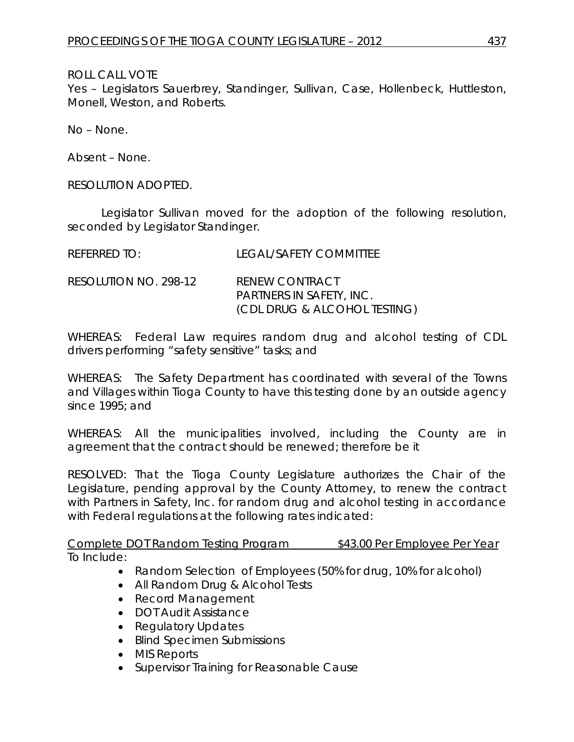ROLL CALL VOTE

Yes – Legislators Sauerbrey, Standinger, Sullivan, Case, Hollenbeck, Huttleston, Monell, Weston, and Roberts.

No – None.

Absent – None.

RESOLUTION ADOPTED.

Legislator Sullivan moved for the adoption of the following resolution, seconded by Legislator Standinger.

| $R$ FFFRRFD TO:       | LEGAL/SAFETY COMMITTEE                                                                   |
|-----------------------|------------------------------------------------------------------------------------------|
| RESOLUTION NO. 298-12 | <b>RENEW CONTRACT</b><br><b>PARTNERS IN SAFETY, INC.</b><br>(CDL DRUG & ALCOHOL TESTING) |

WHEREAS: Federal Law requires random drug and alcohol testing of CDL drivers performing "safety sensitive" tasks; and

WHEREAS: The Safety Department has coordinated with several of the Towns and Villages within Tioga County to have this testing done by an outside agency since 1995; and

WHEREAS: All the municipalities involved, including the County are in agreement that the contract should be renewed; therefore be it

RESOLVED: That the Tioga County Legislature authorizes the Chair of the Legislature, pending approval by the County Attorney, to renew the contract with Partners in Safety, Inc. for random drug and alcohol testing in accordance with Federal regulations at the following rates indicated:

Complete DOT Random Testing Program \$43.00 Per Employee Per Year To Include:

- Random Selection of Employees (50% for drug, 10% for alcohol)
- All Random Drug & Alcohol Tests
- Record Management
- DOT Audit Assistance
- Regulatory Updates
- Blind Specimen Submissions
- MIS Reports
- Supervisor Training for Reasonable Cause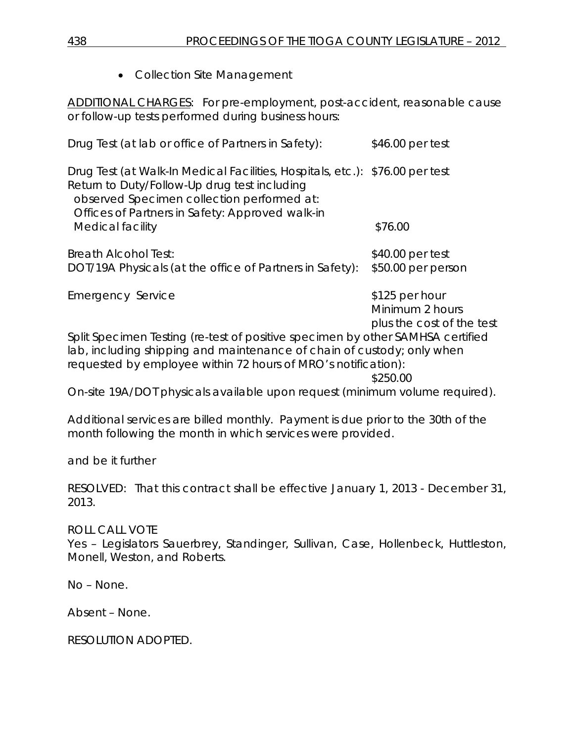• Collection Site Management

ADDITIONAL CHARGES: For pre-employment, post-accident, reasonable cause or follow-up tests performed during business hours:

| Drug Test (at lab or office of Partners in Safety):                                                                                                                                                                                               | \$46.00 per test                                               |
|---------------------------------------------------------------------------------------------------------------------------------------------------------------------------------------------------------------------------------------------------|----------------------------------------------------------------|
| Drug Test (at Walk-In Medical Facilities, Hospitals, etc.): \$76.00 per test<br>Return to Duty/Follow-Up drug test including<br>observed Specimen collection performed at:<br>Offices of Partners in Safety: Approved walk-in<br>Medical facility | \$76.00                                                        |
| <b>Breath Alcohol Test:</b><br>DOT/19A Physicals (at the office of Partners in Safety):                                                                                                                                                           | \$40.00 per test<br>\$50.00 per person                         |
| <b>Emergency Service</b>                                                                                                                                                                                                                          | \$125 per hour<br>Minimum 2 hours<br>plus the cost of the test |
| Split Specimen Testing (re-test of positive specimen by other SAMHSA certified<br>lab, including shipping and maintenance of chain of custody; only when                                                                                          |                                                                |
| requested by employee within 72 hours of MRO's notification):                                                                                                                                                                                     | \$250.00                                                       |
| On-site 19A/DOT physicals available upon request (minimum volume required).                                                                                                                                                                       |                                                                |

Additional services are billed monthly. Payment is due prior to the 30th of the month following the month in which services were provided.

and be it further

RESOLVED: That this contract shall be effective January 1, 2013 - December 31, 2013.

# ROLL CALL VOTE

Yes - Legislators Sauerbrey, Standinger, Sullivan, Case, Hollenbeck, Huttleston, Monell, Weston, and Roberts.

No – None.

Absent – None.

RESOLUTION ADOPTED.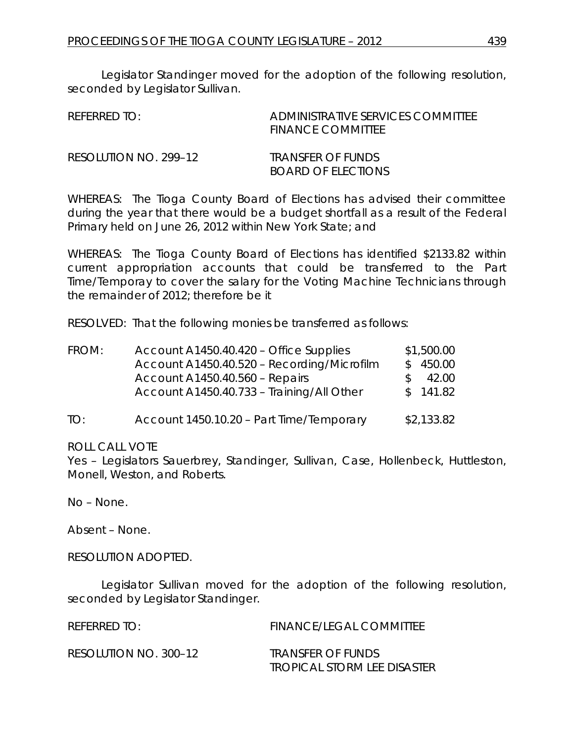Legislator Standinger moved for the adoption of the following resolution, seconded by Legislator Sullivan.

| REFERRED TO:          | ADMINISTRATIVE SERVICES COMMITTEE<br><b>FINANCE COMMITTEE</b> |
|-----------------------|---------------------------------------------------------------|
| RESOLUTION NO. 299–12 | TRANSFER OF FUNDS<br>BOARD OF ELECTIONS                       |

WHEREAS: The Tioga County Board of Elections has advised their committee during the year that there would be a budget shortfall as a result of the Federal Primary held on June 26, 2012 within New York State; and

WHEREAS: The Tioga County Board of Elections has identified \$2133.82 within current appropriation accounts that could be transferred to the Part Time/Temporay to cover the salary for the Voting Machine Technicians through the remainder of 2012; therefore be it

RESOLVED: That the following monies be transferred as follows:

| FROM: | Account A1450.40.420 – Office Supplies     | \$1,500.00 |
|-------|--------------------------------------------|------------|
|       | Account A1450.40.520 - Recording/Microfilm | \$450.00   |
|       | Account A1450.40.560 - Repairs             | 42.00      |
|       | Account A1450.40.733 - Training/All Other  | \$141.82   |
| TO:   | Account 1450.10.20 - Part Time/Temporary   | \$2,133.82 |

#### ROLL CALL VOTE

Yes – Legislators Sauerbrey, Standinger, Sullivan, Case, Hollenbeck, Huttleston, Monell, Weston, and Roberts.

No – None.

Absent – None.

#### RESOLUTION ADOPTED.

Legislator Sullivan moved for the adoption of the following resolution, seconded by Legislator Standinger.

| REFERRED TO:          | <b>FINANCE/LEGAL COMMITTEE</b> |
|-----------------------|--------------------------------|
| RESOLUTION NO. 300-12 | TRANSFER OF FUNDS              |
|                       | TROPICAL STORM LEE DISASTER    |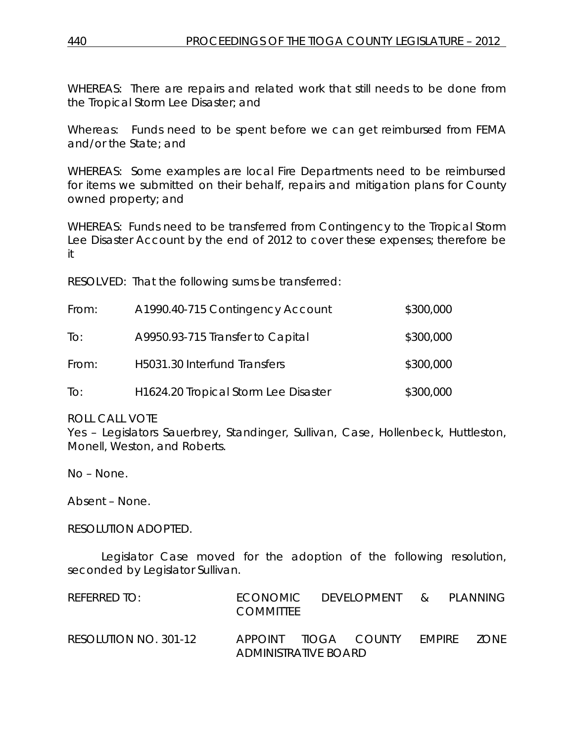WHEREAS: There are repairs and related work that still needs to be done from the Tropical Storm Lee Disaster; and

Whereas: Funds need to be spent before we can get reimbursed from FEMA and/or the State; and

WHEREAS: Some examples are local Fire Departments need to be reimbursed for items we submitted on their behalf, repairs and mitigation plans for County owned property; and

WHEREAS: Funds need to be transferred from Contingency to the Tropical Storm Lee Disaster Account by the end of 2012 to cover these expenses; therefore be it

RESOLVED: That the following sums be transferred:

| From: | A1990.40-715 Contingency Account                  | \$300,000 |
|-------|---------------------------------------------------|-----------|
| To:   | A9950.93-715 Transfer to Capital                  | \$300,000 |
| From: | H5031.30 Interfund Transfers                      | \$300,000 |
| To:   | H <sub>1624</sub> .20 Tropical Storm Lee Disaster | \$300,000 |

ROLL CALL VOTE

Yes – Legislators Sauerbrey, Standinger, Sullivan, Case, Hollenbeck, Huttleston, Monell, Weston, and Roberts.

No – None.

Absent – None.

RESOLUTION ADOPTED.

Legislator Case moved for the adoption of the following resolution, seconded by Legislator Sullivan.

| REFERRED TO:          | <b>FCONOMIC</b><br><b>COMMITTEE</b> | development              | $\mathcal{R}_{\mathcal{L}}$ | PLANNING. |
|-----------------------|-------------------------------------|--------------------------|-----------------------------|-----------|
| RESOLUTION NO. 301-12 | APPOINT<br>ADMINISTRATIVE BOARD     | TIOGA COUNTY FMPIRE ZONE |                             |           |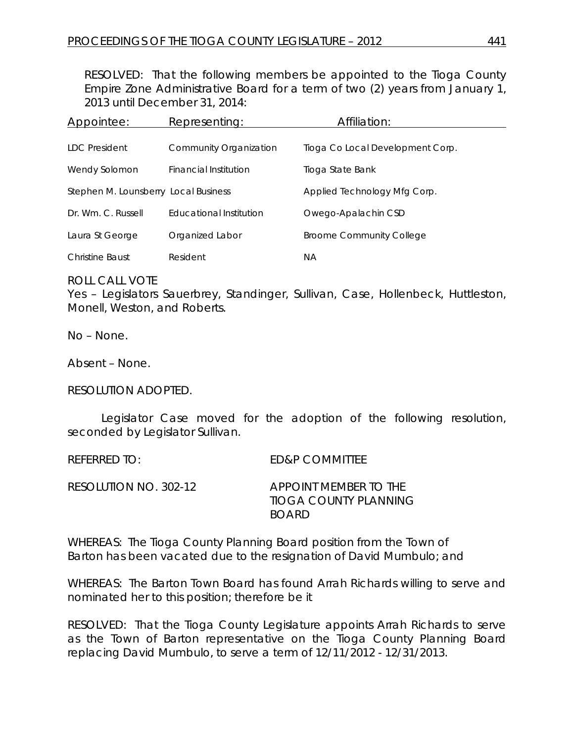RESOLVED: That the following members be appointed to the Tioga County Empire Zone Administrative Board for a term of two (2) years from January 1, 2013 until December 31, 2014:

| Appointee:                           | Representing:           | Affiliation:                     |
|--------------------------------------|-------------------------|----------------------------------|
|                                      |                         |                                  |
| LDC President                        | Community Organization  | Tioga Co Local Development Corp. |
| Wendy Solomon                        | Financial Institution   | Tioga State Bank                 |
| Stephen M. Lounsberry Local Business |                         | Applied Technology Mfg Corp.     |
| Dr. Wm. C. Russell                   | Educational Institution | Owego-Apalachin CSD              |
| Laura St George                      | Organized Labor         | <b>Broome Community College</b>  |
| <b>Christine Baust</b>               | Resident                | ΝA                               |

ROLL CALL VOTE

Yes – Legislators Sauerbrey, Standinger, Sullivan, Case, Hollenbeck, Huttleston, Monell, Weston, and Roberts.

No – None.

Absent – None.

RESOLUTION ADOPTED.

Legislator Case moved for the adoption of the following resolution, seconded by Legislator Sullivan.

REFERRED TO: ED&P COMMITTEE RESOLUTION NO. 302-12 *APPOINT MEMBER TO THE TIOGA COUNTY PLANNING BOARD*

WHEREAS: The Tioga County Planning Board position from the Town of Barton has been vacated due to the resignation of David Mumbulo; and

WHEREAS: The Barton Town Board has found Arrah Richards willing to serve and nominated her to this position; therefore be it

RESOLVED: That the Tioga County Legislature appoints Arrah Richards to serve as the Town of Barton representative on the Tioga County Planning Board replacing David Mumbulo, to serve a term of 12/11/2012 - 12/31/2013.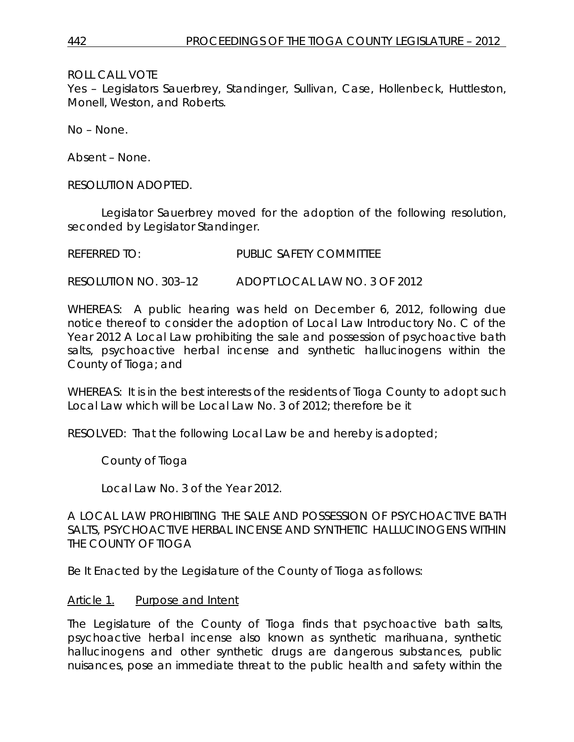ROLL CALL VOTE

Yes – Legislators Sauerbrey, Standinger, Sullivan, Case, Hollenbeck, Huttleston, Monell, Weston, and Roberts.

No – None.

Absent – None.

RESOLUTION ADOPTED.

Legislator Sauerbrey moved for the adoption of the following resolution, seconded by Legislator Standinger.

| <b>REFERRED TO:</b> | <b>PUBLIC SAFETY COMMITTEE</b> |
|---------------------|--------------------------------|
|                     |                                |

RESOLUTION NO. 303–12 *ADOPT LOCAL LAW NO. 3 OF 2012*

WHEREAS: A public hearing was held on December 6, 2012, following due notice thereof to consider the adoption of Local Law Introductory No. C of the Year 2012 A Local Law prohibiting the sale and possession of psychoactive bath salts, psychoactive herbal incense and synthetic hallucinogens within the County of Tioga; and

WHEREAS: It is in the best interests of the residents of Tioga County to adopt such Local Law which will be Local Law No. 3 of 2012; therefore be it

RESOLVED: That the following Local Law be and hereby is adopted;

County of Tioga

Local Law No. 3 of the Year 2012.

A LOCAL LAW PROHIBITING THE SALE AND POSSESSION OF PSYCHOACTIVE BATH SALTS, PSYCHOACTIVE HERBAL INCENSE AND SYNTHETIC HALLUCINOGENS WITHIN THE COUNTY OF TIOGA

Be It Enacted by the Legislature of the County of Tioga as follows:

#### Article 1. Purpose and Intent

The Legislature of the County of Tioga finds that psychoactive bath salts, psychoactive herbal incense also known as synthetic marihuana, synthetic hallucinogens and other synthetic drugs are dangerous substances, public nuisances, pose an immediate threat to the public health and safety within the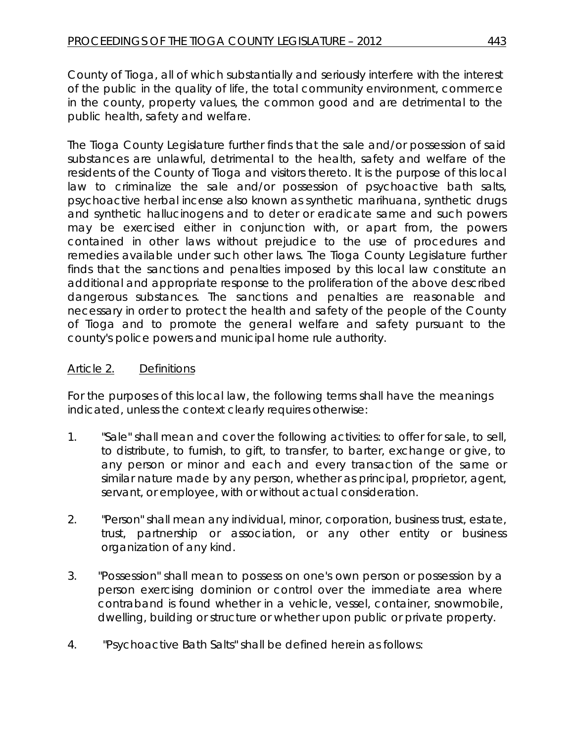County of Tioga, all of which substantially and seriously interfere with the interest of the public in the quality of life, the total community environment, commerce in the county, property values, the common good and are detrimental to the public health, safety and welfare.

The Tioga County Legislature further finds that the sale and/or possession of said substances are unlawful, detrimental to the health, safety and welfare of the residents of the County of Tioga and visitors thereto. It is the purpose of this local law to criminalize the sale and/or possession of psychoactive bath salts, psychoactive herbal incense also known as synthetic marihuana, synthetic drugs and synthetic hallucinogens and to deter or eradicate same and such powers may be exercised either in conjunction with, or apart from, the powers contained in other laws without prejudice to the use of procedures and remedies available under such other laws. The Tioga County Legislature further finds that the sanctions and penalties imposed by this local law constitute an additional and appropriate response to the proliferation of the above described dangerous substances. The sanctions and penalties are reasonable and necessary in order to protect the health and safety of the people of the County of Tioga and to promote the general welfare and safety pursuant to the county's police powers and municipal home rule authority.

# Article 2. Definitions

For the purposes of this local law, the following terms shall have the meanings indicated, unless the context clearly requires otherwise:

- 1. "Sale" shall mean and cover the following activities: to offer for sale, to sell, to distribute, to furnish, to gift, to transfer, to barter, exchange or give, to any person or minor and each and every transaction of the same or similar nature made by any person, whether as principal, proprietor, agent, servant, or employee, with or without actual consideration.
- 2. "Person" shall mean any individual, minor, corporation, business trust, estate, trust, partnership or association, or any other entity or business organization of any kind.
- 3. "Possession" shall mean to possess on one's own person or possession by a person exercising dominion or control over the immediate area where contraband is found whether in a vehicle, vessel, container, snowmobile, dwelling, building or structure or whether upon public or private property.
- 4. "Psychoactive Bath Salts" shall be defined herein as follows: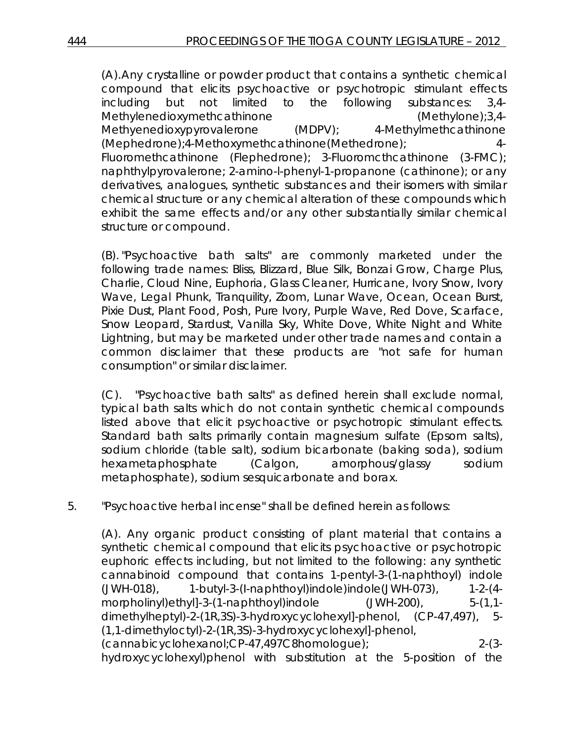(A).Any crystalline or powder product that contains a synthetic chemical compound that elicits psychoactive or psychotropic stimulant effects including but not limited to the following substances: 3,4- Methylenedioxymethcathinone (Methylone);3,4- Methyenedioxypyrovalerone (MDPV); 4-Methylmethcathinone (Mephedrone);4-Methoxymethcathinone(Methedrone); 4- Fluoromethcathinone (Flephedrone); 3-Fluoromcthcathinone (3-FMC); naphthylpyrovalerone; 2-amino-l-phenyl-1-propanone (cathinone); or any derivatives, analogues, synthetic substances and their isomers with similar chemical structure or any chemical alteration of these compounds which exhibit the *same* effects and/or any other substantially similar chemical structure or compound.

(B). "Psychoactive bath salts" are commonly marketed under the following trade names: Bliss, Blizzard, Blue Silk, Bonzai Grow, Charge Plus, Charlie, Cloud Nine, Euphoria, Glass Cleaner, Hurricane, Ivory Snow, Ivory Wave, Legal Phunk, Tranquility, Zoom, Lunar Wave, Ocean, Ocean Burst, Pixie Dust, Plant Food, Posh, Pure Ivory, Purple Wave, Red Dove, Scarface, Snow Leopard, Stardust, Vanilla Sky, White Dove, White Night and White Lightning, but may be marketed under other trade names and contain a common disclaimer that these products are "not safe for human consumption" or similar disclaimer.

(C). "Psychoactive bath salts" as defined herein shall exclude normal, typical bath salts which do not contain synthetic chemical compounds listed above that elicit psychoactive or psychotropic stimulant effects. Standard bath salts primarily contain magnesium sulfate (Epsom salts), sodium chloride (table salt), sodium bicarbonate (baking soda), sodium hexametaphosphate (Calgon, amorphous/glassy sodium metaphosphate), sodium sesquicarbonate and borax.

5. "Psychoactive herbal incense" shall be defined herein as follows:

(A). Any organic product consisting of plant material that contains a synthetic chemical compound that elicits *psychoactive or* psychotropic euphoric effects including, but not limited to the following: any synthetic cannabinoid compound that contains 1-pentyl-3-(1-naphthoyl) indole (JWH-018), 1-butyl-3-(I-naphthoyl)indole)indole(JWH-073), 1-2-(4 morpholinyl)ethyl]-3-(1-naphthoyl)indole (JWH-200), 5-(1,1dimethylheptyl)-2-(1R,3S)-3-hydroxycyclohexyl]-phenol, (CP-47,497), 5- (1,1-dimethyloctyl)-2-(1R,3S)-3-hydroxycyclohexyl]-phenol, (cannabicyclohexanol;CP-47,497C8homologue); 2-(3 hydroxycyclohexyl)phenol with substitution at the 5-position of the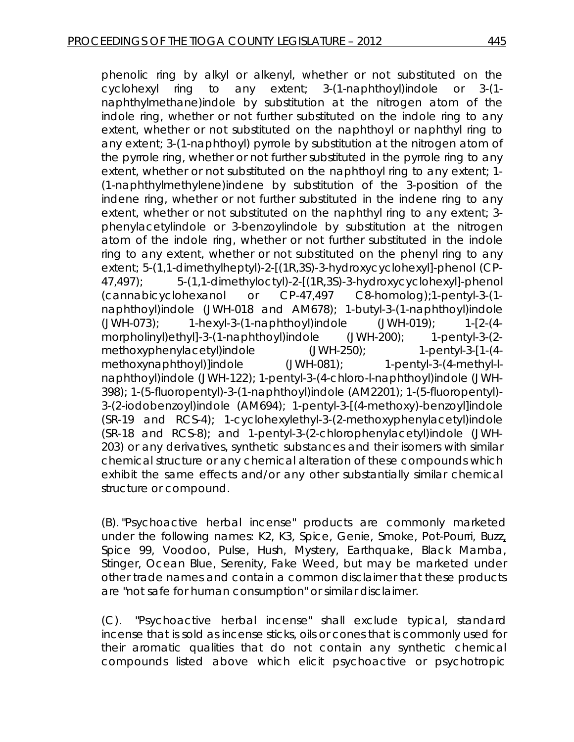phenolic ring by alkyl or alkenyl, whether or not substituted on the cyclohexyl ring to any extent; 3-(1-naphthoyl)indole or 3-(1 naphthylmethane)indole by substitution at the nitrogen atom of the indole ring, whether or not further substituted on the indole ring to any extent, whether or not substituted on the naphthoyl or naphthyl ring to any extent; 3-(1-naphthoyl) pyrrole by substitution at the nitrogen atom of the pyrrole ring, whether or not further substituted in the pyrrole ring to any extent, whether or not substituted on the naphthoyl ring to any extent; 1- (1-naphthylmethylene)indene by substitution of the 3-position of the indene ring, whether or not further substituted in the indene ring to any extent, whether or not substituted on the naphthyl ring to any extent; 3 phenylacetylindole or 3-benzoylindole by substitution at the nitrogen atom of the indole ring, whether or not further substituted in the indole ring to any extent, whether or not substituted on the phenyl ring to any extent; 5-(1,1-dimethylheptyl)-2-[(1R,3S)-3-hydroxycyclohexyl]-phenol (CP-47,497); 5-(1,1-dimethyloctyl)-2-[(1R,3S)-3-hydroxycyclohexyl]-phenol (cannabicyclohexanol or CP-47,497 C8-homolog);1-pentyl-3-(1 naphthoyl)indole (JWH-018 and AM678); 1-butyl-3-(1-naphthoyl)indole (JWH-073); 1-hexyl-3-(1-naphthoyl)indole (JWH-019); 1-[2-(4 morpholinyl)ethyl]-3-(1-naphthoyl)indole (JWH-200); 1-pentyl-3-(2 methoxyphenylacetyl)indole (JWH-250); 1-pentyl-3-[1-(4methoxynaphthoyl)]indole (JWH-081); 1-pentyl-3-(4-methyl-lnaphthoyl)indole (JWH-122); 1-pentyl-3-(4-chloro-l-naphthoyl)indole (JWH-398); 1-(5-fluoropentyl)-3-(1-naphthoyl)indole (AM2201); 1-(5-fluoropentyl)- 3-(2-iodobenzoyl)indole (AM694); 1-pentyl-3-[(4-methoxy)-benzoyl]indole (SR-19 and RCS-4); 1-cyclohexylethyl-3-(2-methoxyphenylacetyl)indole (SR-18 and RCS-8); and 1-pentyl-3-(2-chlorophenylacetyl)indole (JWH-203) or any derivatives, synthetic substances and their isomers with similar chemical structure or any chemical alteration of these compounds which exhibit the same effects and/or any other substantially similar chemical structure or compound.

(B). "Psychoactive herbal incense" products are commonly marketed under the following names: K2, K3, Spice, Genie, Smoke, Pot-Pourri, Buzz, Spice 99, Voodoo, Pulse, Hush, Mystery, Earthquake, Black Mamba, Stinger, Ocean Blue, Serenity, Fake Weed, but may be marketed under other trade names and contain a common disclaimer that these products are "not safe for human consumption" or similar disclaimer.

(C). "Psychoactive herbal incense" shall exclude typical, standard incense that is sold as incense sticks, oils or cones that is commonly used for their aromatic qualities that do not contain any synthetic chemical compounds listed above which elicit psychoactive or psychotropic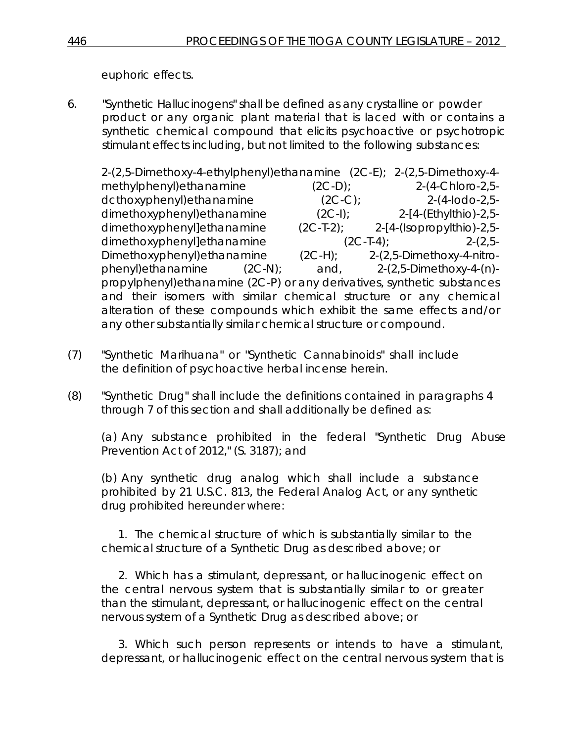euphoric effects.

6. "Synthetic Hallucinogens" shall be defined as *any* crystalline or powder product or any organic plant material that is laced with or contains a synthetic chemical compound that elicits psychoactive or psychotropic stimulant effects including, but not limited to the following substances:

2-(2,5-Dimethoxy-4-ethylphenyl)ethanamine (2C-E); 2-(2,5-Dimethoxy-4 methylphenyl)ethanamine (2C-D); 2-(4-Chloro-2,5 dcthoxyphenyl)ethanamine (2C-C); 2-(4-Iodo-2,5 dimethoxyphenyl)ethanamine (2C-I); 2-[4-(Ethylthio)-2,5 dimethoxyphenyl]ethanamine (2C-T-2); 2-[4-(Isopropylthio)-2,5 dimethoxyphenyl]ethanamine (2C-T-4); 2-(2,5- Dimethoxyphenyl)ethanamine (2C-H); 2-(2,5-Dimethoxy-4-nitrophenyl)ethanamine (2C-N); and, 2-(2,5-Dimethoxy-4-(n) propylphenyl)ethanamine (2C-P) or any derivatives, synthetic substances and their isomers with similar chemical structure or any chemical alteration of these compounds which exhibit the same effects and/or any other substantially similar chemical structure or compound.

- (7) "Synthetic Marihuana" or "Synthetic Cannabinoids" shall include the definition of psychoactive herbal incense herein.
- (8) "Synthetic Drug" shall include the definitions contained in paragraphs 4 through 7 of this section and shall additionally be defined as:

(a) Any substance prohibited in the federal "Synthetic Drug Abuse Prevention Act of 2012," (S. 3187); and

(b) Any synthetic drug *analog which* shall include a substance prohibited by 21 U.S.C. 813, the Federal Analog Act, or any synthetic drug prohibited hereunder where:

1. The chemical structure of which is substantially similar to the chemical structure of a Synthetic Drug as described above; or

2. Which has a stimulant, depressant, or hallucinogenic effect on the central nervous system that is substantially similar to or greater than the stimulant, depressant, or hallucinogenic effect on the central nervous system of a Synthetic Drug as described above; or

3. Which such person represents or intends to have a stimulant, depressant, or hallucinogenic effect on the central nervous system that is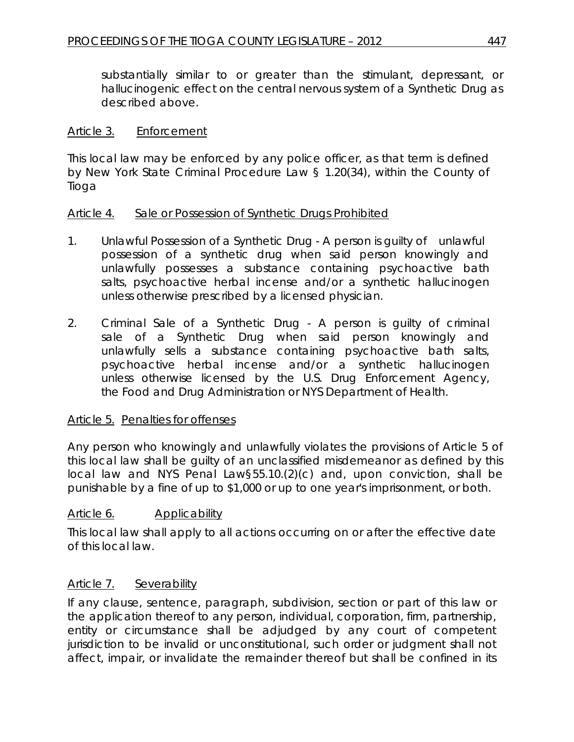substantially similar to or greater than the stimulant, depressant, or hallucinogenic effect on the central nervous system of a Synthetic Drug as described above.

### Article 3. Enforcement

This local law may be enforced by any police officer, as that term is defined by New York State Criminal Procedure Law § 1.20(34), within the County of Tioga

### Article 4. Sale or Possession of Synthetic Drugs Prohibited

- 1. Unlawful Possession of a Synthetic Drug A person is guilty of unlawful possession of a synthetic drug when said person knowingly and unlawfully possesses a substance containing psychoactive bath salts, psychoactive herbal incense and/or a synthetic hallucinogen unless otherwise prescribed by a licensed physician.
- 2. Criminal Sale of a Synthetic Drug A person is guilty of criminal sale of a Synthetic Drug when said person knowingly and unlawfully sells a substance containing psychoactive bath salts, psychoactive herbal incense and/or a synthetic hallucinogen unless otherwise licensed by the U.S. Drug Enforcement Agency, the Food and Drug Administration or NYS Department of Health.

#### Article 5. Penalties for offenses

Any person who knowingly and unlawfully violates the provisions of Article 5 of this local law shall be guilty of an unclassified misdemeanor as defined by this local law and NYS Penal Law§55.10.(2)(c) and, upon conviction, shall be punishable by a fine of up to \$1,000 or up to one year's imprisonment, or both.

# Article 6. Applicability

This local law shall apply to all actions occurring on or after the effective date of this local law.

#### Article 7. Severability

If any clause, sentence, paragraph, subdivision, section or part of this law or the application thereof to any person, individual, corporation, firm, partnership, entity or circumstance shall be adjudged by any court of competent jurisdiction to be invalid or unconstitutional, such order or judgment shall not affect, impair, or invalidate the remainder thereof but shall be confined in its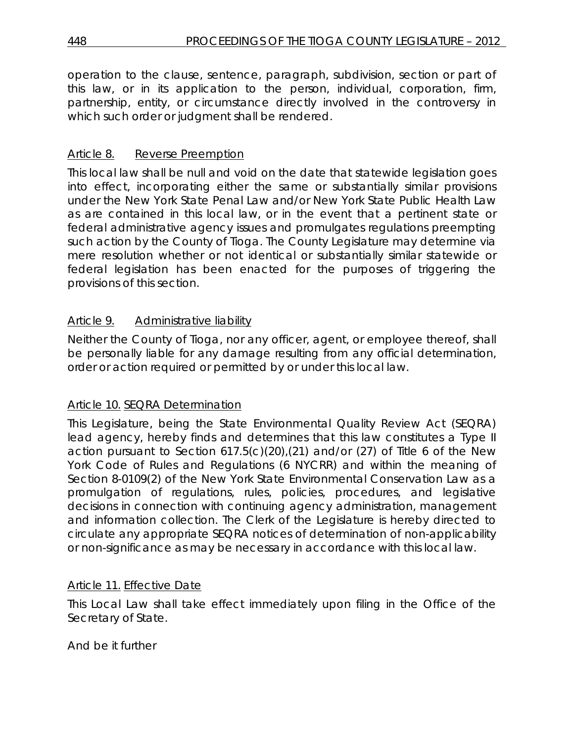operation to the clause, sentence, paragraph, subdivision, section or part of this law, or in its application to the person, individual, corporation, firm, partnership, entity, or circumstance directly involved in the controversy in which such order or judgment shall be rendered.

# Article 8. Reverse Preemption

This local law shall be null and void on the date that statewide legislation goes into effect, incorporating either the same or substantially similar provisions under the New York State Penal Law and/or New York State Public Health Law as are contained in this local law, or in the event that a pertinent state or federal administrative agency issues and promulgates regulations preempting such action by the County of Tioga. The County Legislature may determine via mere resolution whether or not identical or substantially similar statewide or federal legislation has been enacted for the purposes of triggering the provisions of this section.

# Article 9. Administrative liability

Neither the County of Tioga, nor any officer, agent, or employee thereof, shall be personally liable for any damage resulting from any official determination, order or action required or permitted by or under this local law.

# Article 10. SEQRA Determination

This Legislature, being the State Environmental Quality Review Act (SEQRA) lead agency, hereby finds and determines that this law constitutes a Type II action pursuant to Section  $617.5(c)(20)$ ,  $(21)$  and/or  $(27)$  of Title 6 of the New York Code of Rules and Regulations (6 NYCRR) and within the meaning of Section 8-0109(2) of the New York State Environmental Conservation Law as a promulgation of regulations, rules, policies, procedures, and legislative decisions in connection with continuing agency administration, management and information collection. The Clerk of the Legislature is hereby directed to circulate any appropriate SEQRA notices of determination of non-applicability or non-significance as may be necessary in accordance with this local law.

# Article 11. Effective Date

This Local Law shall take effect immediately upon filing in the Office of the Secretary of State.

# And be it further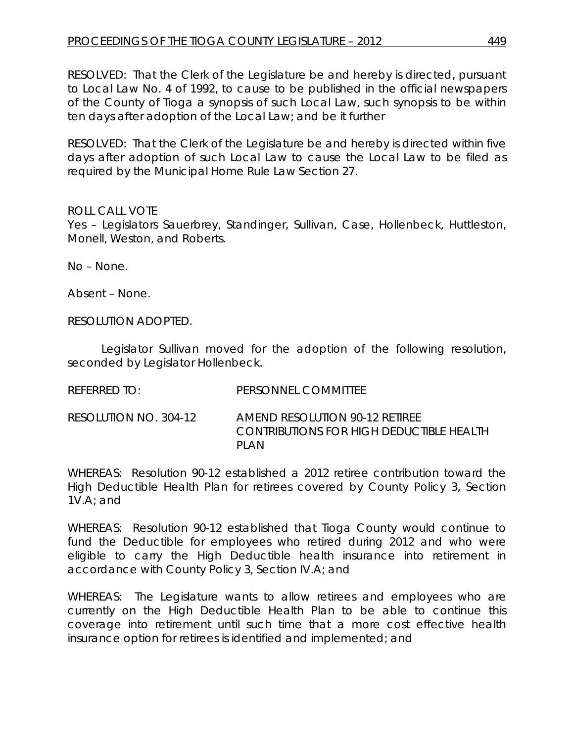RESOLVED: That the Clerk of the Legislature be and hereby is directed, pursuant to Local Law No. 4 of 1992, to cause to be published in the official newspapers of the County of Tioga a synopsis of such Local Law, such synopsis to be within ten days after adoption of the Local Law; and be it further

RESOLVED: That the Clerk of the Legislature be and hereby is directed within five days after adoption of such Local Law to cause the Local Law to be filed as required by the Municipal Home Rule Law Section 27.

### ROLL CALL VOTE

Yes – Legislators Sauerbrey, Standinger, Sullivan, Case, Hollenbeck, Huttleston, Monell, Weston, and Roberts.

No – None.

Absent – None.

RESOLUTION ADOPTED.

Legislator Sullivan moved for the adoption of the following resolution, seconded by Legislator Hollenbeck.

RESOLUTION NO. 304-12 *AMEND RESOLUTION 90-12 RETIREE CONTRIBUTIONS FOR HIGH DEDUCTIBLE HEALTH PLAN*

WHEREAS: Resolution 90-12 established a 2012 retiree contribution toward the High Deductible Health Plan for retirees covered by County Policy 3, Section 1V.A; and

WHEREAS: Resolution 90-12 established that Tioga County would continue to fund the Deductible for employees who retired during 2012 and who were eligible to carry the High Deductible health insurance into retirement in accordance with County Policy 3, Section IV.A; and

WHEREAS: The Legislature wants to allow retirees and employees who are currently on the High Deductible Health Plan to be able to continue this coverage into retirement until such time that a more cost effective health insurance option for retirees is identified and implemented; and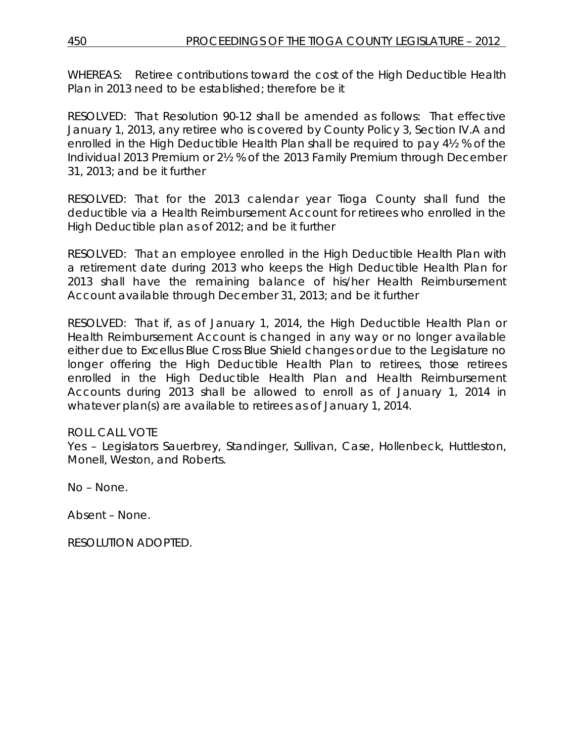WHEREAS: Retiree contributions toward the cost of the High Deductible Health Plan in 2013 need to be established; therefore be it

RESOLVED: That Resolution 90-12 shall be amended as follows: That effective January 1, 2013, any retiree who is covered by County Policy 3, Section IV.A and enrolled in the High Deductible Health Plan shall be required to pay 4½ % of the Individual 2013 Premium or 2½ % of the 2013 Family Premium through December 31, 2013; and be it further

RESOLVED: That for the 2013 calendar year Tioga County shall fund the deductible via a Health Reimbursement Account for retirees who enrolled in the High Deductible plan as of 2012; and be it further

RESOLVED: That an employee enrolled in the High Deductible Health Plan with a retirement date during 2013 who keeps the High Deductible Health Plan for 2013 shall have the remaining balance of his/her Health Reimbursement Account available through December 31, 2013; and be it further

RESOLVED: That if, as of January 1, 2014, the High Deductible Health Plan or Health Reimbursement Account is changed in any way or no longer available either due to Excellus Blue Cross Blue Shield changes or due to the Legislature no longer offering the High Deductible Health Plan to retirees, those retirees enrolled in the High Deductible Health Plan and Health Reimbursement Accounts during 2013 shall be allowed to enroll as of January 1, 2014 in whatever plan(s) are available to retirees as of January 1, 2014.

# ROLL CALL VOTE

Yes – Legislators Sauerbrey, Standinger, Sullivan, Case, Hollenbeck, Huttleston, Monell, Weston, and Roberts.

No – None.

Absent – None.

RESOLUTION ADOPTED.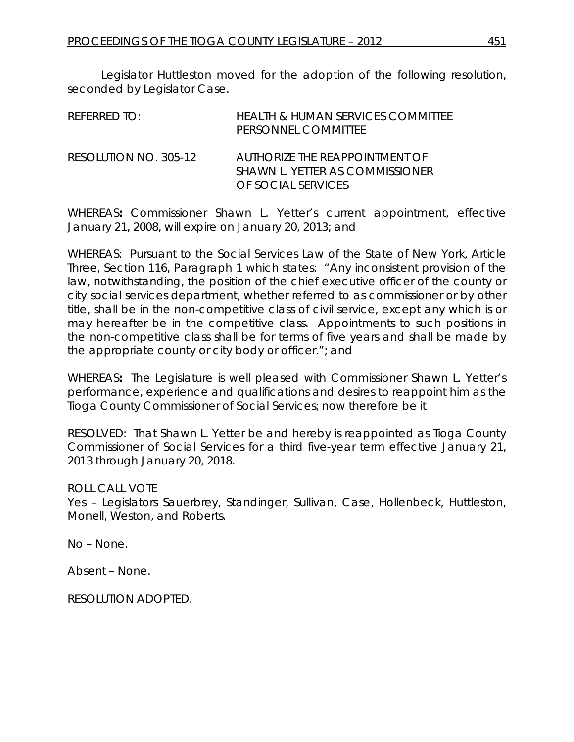Legislator Huttleston moved for the adoption of the following resolution, seconded by Legislator Case.

| REFERRED TO:          | HEALTH & HUMAN SERVICES COMMITTEE<br>PERSONNEL COMMITTEE                                |
|-----------------------|-----------------------------------------------------------------------------------------|
| RESOLUTION NO. 305-12 | AUTHORIZE THE REAPPOINTMENT OF<br>SHAWN L. YETTER AS COMMISSIONER<br>OF SOCIAL SERVICES |

WHEREAS**:** Commissioner Shawn L. Yetter's current appointment, effective January 21, 2008, will expire on January 20, 2013; and

WHEREAS: Pursuant to the Social Services Law of the State of New York, Article Three, Section 116, Paragraph 1 which states: "Any inconsistent provision of the law, notwithstanding, the position of the chief executive officer of the county or city social services department, whether referred to as commissioner or by other title, shall be in the non-competitive class of civil service, except any which is or may hereafter be in the competitive class. Appointments to such positions in the non-competitive class shall be for terms of five years and shall be made by the appropriate county or city body or officer."; and

WHEREAS**:** The Legislature is well pleased with Commissioner Shawn L. Yetter's performance, experience and qualifications and desires to reappoint him as the Tioga County Commissioner of Social Services; now therefore be it

RESOLVED:That Shawn L. Yetter be and hereby is reappointed as Tioga County Commissioner of Social Services for a third five-year term effective January 21, 2013 through January 20, 2018.

ROLL CALL VOTE

Yes – Legislators Sauerbrey, Standinger, Sullivan, Case, Hollenbeck, Huttleston, Monell, Weston, and Roberts.

No – None.

Absent – None.

RESOLUTION ADOPTED.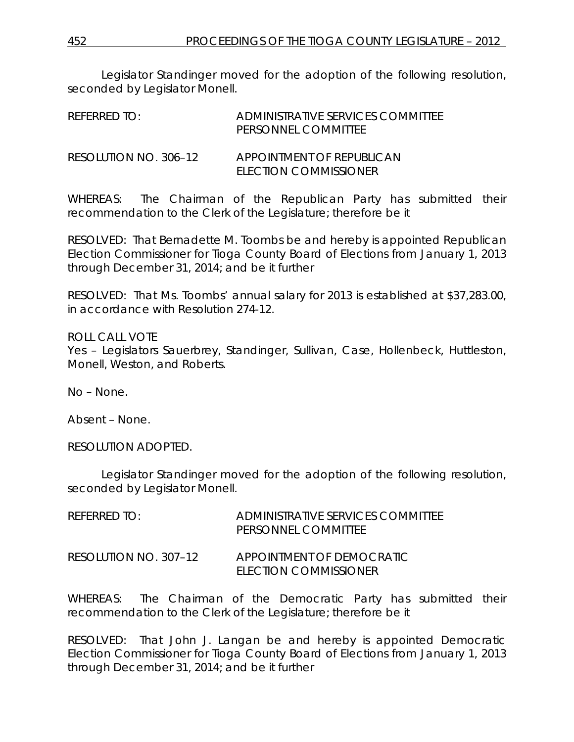Legislator Standinger moved for the adoption of the following resolution, seconded by Legislator Monell.

| REFERRED TO:          | ADMINISTRATIVE SERVICES COMMITTEE<br>PERSONNEL COMMITTEE  |
|-----------------------|-----------------------------------------------------------|
| RESOLUTION NO. 306–12 | <b>APPOINTMENT OF REPUBLICAN</b><br>ELECTION COMMISSIONER |

WHEREAS: The Chairman of the Republican Party has submitted their recommendation to the Clerk of the Legislature; therefore be it

RESOLVED: That Bernadette M. Toombs be and hereby is appointed Republican Election Commissioner for Tioga County Board of Elections from January 1, 2013 through December 31, 2014; and be it further

RESOLVED: That Ms. Toombs' annual salary for 2013 is established at \$37,283.00, in accordance with Resolution 274-12.

ROLL CALL VOTE Yes – Legislators Sauerbrey, Standinger, Sullivan, Case, Hollenbeck, Huttleston, Monell, Weston, and Roberts.

No – None.

Absent – None.

RESOLUTION ADOPTED.

Legislator Standinger moved for the adoption of the following resolution, seconded by Legislator Monell.

| REFERRED TO:          | ADMINISTRATIVE SERVICES COMMITTEE<br>PERSONNEL COMMITTEE |
|-----------------------|----------------------------------------------------------|
| RESOLUTION NO. 307-12 | APPOINTMENT OF DEMOCRATIC<br>ELECTION COMMISSIONER       |

WHEREAS: The Chairman of the Democratic Party has submitted their recommendation to the Clerk of the Legislature; therefore be it

RESOLVED: That John J. Langan be and hereby is appointed Democratic Election Commissioner for Tioga County Board of Elections from January 1, 2013 through December 31, 2014; and be it further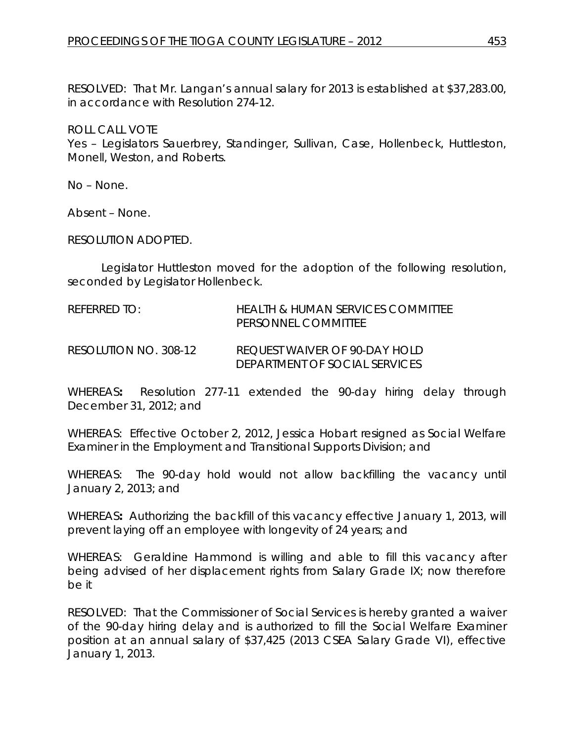RESOLVED: That Mr. Langan's annual salary for 2013 is established at \$37,283.00, in accordance with Resolution 274-12.

ROLL CALL VOTE Yes – Legislators Sauerbrey, Standinger, Sullivan, Case, Hollenbeck, Huttleston, Monell, Weston, and Roberts.

No – None.

Absent – None.

RESOLUTION ADOPTED.

Legislator Huttleston moved for the adoption of the following resolution, seconded by Legislator Hollenbeck.

REFERRED TO: HEALTH & HUMAN SERVICES COMMITTEE PERSONNEL COMMITTEE

RESOLUTION NO. 308-12 *REQUEST WAIVER OF 90-DAY HOLD DEPARTMENT OF SOCIAL SERVICES*

WHEREAS**:** Resolution 277-11 extended the 90-day hiring delay through December 31, 2012; and

WHEREAS: Effective October 2, 2012, Jessica Hobart resigned as Social Welfare Examiner in the Employment and Transitional Supports Division; and

WHEREAS: The 90-day hold would not allow backfilling the vacancy until January 2, 2013; and

WHEREAS**:** Authorizing the backfill of this vacancy effective January 1, 2013, will prevent laying off an employee with longevity of 24 years; and

WHEREAS: Geraldine Hammond is willing and able to fill this vacancy after being advised of her displacement rights from Salary Grade IX; now therefore be it

RESOLVED:That the Commissioner of Social Services is hereby granted a waiver of the 90-day hiring delay and is authorized to fill the Social Welfare Examiner position at an annual salary of \$37,425 (2013 CSEA Salary Grade VI), effective January 1, 2013.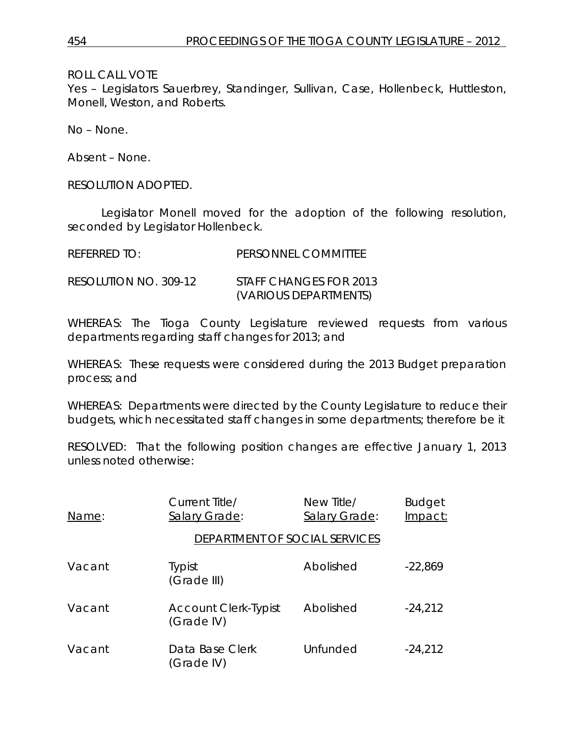ROLL CALL VOTE

Yes – Legislators Sauerbrey, Standinger, Sullivan, Case, Hollenbeck, Huttleston, Monell, Weston, and Roberts.

No – None.

Absent – None.

RESOLUTION ADOPTED.

Legislator Monell moved for the adoption of the following resolution, seconded by Legislator Hollenbeck.

| REFERRED TO:          | PERSONNEL COMMITTEE                             |
|-----------------------|-------------------------------------------------|
| RESOLUTION NO. 309-12 | STAFF CHANGES FOR 2013<br>(VARIOUS DEPARTMENTS) |

WHEREAS: The Tioga County Legislature reviewed requests from various departments regarding staff changes for 2013; and

WHEREAS: These requests were considered during the 2013 Budget preparation process; and

WHEREAS: Departments were directed by the County Legislature to reduce their budgets, which necessitated staff changes in some departments; therefore be it

RESOLVED: That the following position changes are effective January 1, 2013 unless noted otherwise:

| Name:  | Current Title/<br>Salary Grade:           | New Title/<br>Salary Grade: | <b>Budget</b><br>Impact: |
|--------|-------------------------------------------|-----------------------------|--------------------------|
|        | DEPARTMENT OF SOCIAL SERVICES             |                             |                          |
| Vacant | <b>Typist</b><br>(Grade III)              | Abolished                   | $-22,869$                |
| Vacant | <b>Account Clerk-Typist</b><br>(Grade IV) | Abolished                   | $-24,212$                |
| Vacant | Data Base Clerk<br>(Grade IV)             | Unfunded                    | $-24,212$                |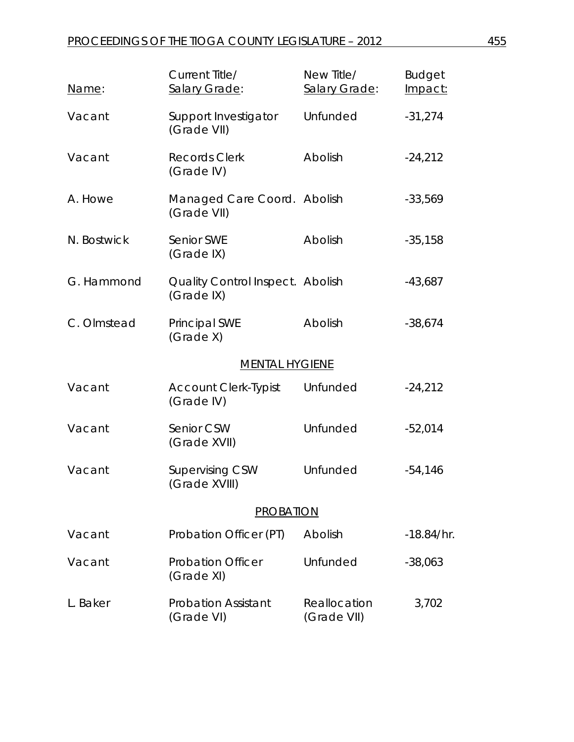| Name:       | Current Title/<br>Salary Grade:                       | New Title/<br>Salary Grade: | <b>Budget</b><br>Impact: |
|-------------|-------------------------------------------------------|-----------------------------|--------------------------|
| Vacant      | Support Investigator<br>(Grade VII)                   | Unfunded                    | $-31,274$                |
| Vacant      | <b>Records Clerk</b><br>(Grade IV)                    | Abolish                     | $-24,212$                |
| A. Howe     | Managed Care Coord. Abolish<br>(Grade VII)            |                             | $-33,569$                |
| N. Bostwick | Senior SWE<br>(Grade IX)                              | Abolish                     | $-35,158$                |
| G. Hammond  | <b>Quality Control Inspect. Abolish</b><br>(Grade IX) |                             | $-43,687$                |
| C. Olmstead | Principal SWE<br>(Grade X)                            | Abolish                     | $-38,674$                |
|             | <b>MENTAL HYGIENE</b>                                 |                             |                          |
| Vacant      | <b>Account Clerk-Typist</b><br>(Grade IV)             | Unfunded                    | $-24,212$                |
| Vacant      | Senior CSW<br>(Grade XVII)                            | Unfunded                    | $-52,014$                |
| Vacant      | <b>Supervising CSW</b><br>(Grade XVIII)               | Unfunded                    | $-54,146$                |
|             | <b>PROBATION</b>                                      |                             |                          |
| Vacant      | Probation Officer (PT)                                | Abolish                     | $-18.84/hr.$             |
| Vacant      | <b>Probation Officer</b><br>(Grade XI)                | Unfunded                    | $-38,063$                |
| L. Baker    | <b>Probation Assistant</b><br>(Grade VI)              | Reallocation<br>(Grade VII) | 3,702                    |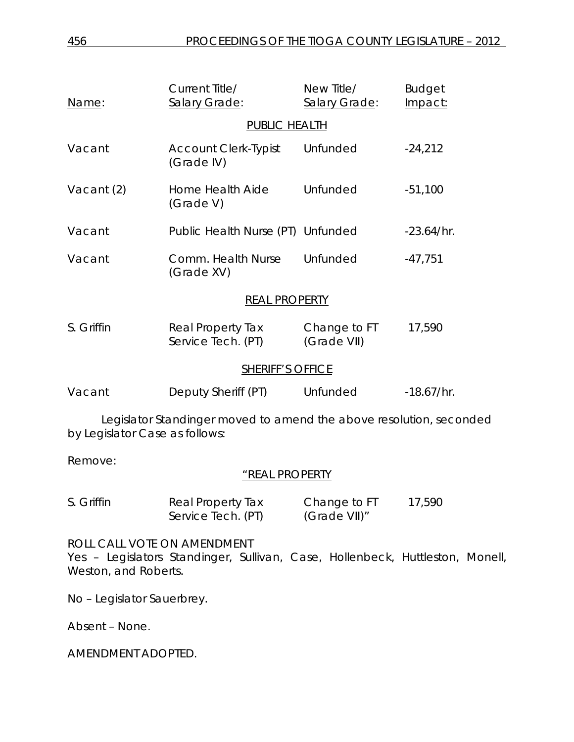| Name:                                                                                                 | Current Title/<br>Salary Grade:           | New Title/<br>Salary Grade: | <b>Budget</b><br>Impact: |  |
|-------------------------------------------------------------------------------------------------------|-------------------------------------------|-----------------------------|--------------------------|--|
| PUBLIC HEALTH                                                                                         |                                           |                             |                          |  |
| Vacant                                                                                                | <b>Account Clerk-Typist</b><br>(Grade IV) | Unfunded                    | $-24,212$                |  |
| Vacant (2)                                                                                            | Home Health Aide<br>(Grade V)             | Unfunded                    | $-51,100$                |  |
| Vacant                                                                                                | Public Health Nurse (PT) Unfunded         |                             | $-23.64/hr.$             |  |
| Vacant                                                                                                | Comm. Health Nurse<br>(Grade XV)          | Unfunded                    | $-47,751$                |  |
| <b>REAL PROPERTY</b>                                                                                  |                                           |                             |                          |  |
| S. Griffin                                                                                            | Real Property Tax<br>Service Tech. (PT)   | Change to FT<br>(Grade VII) | 17,590                   |  |
| <b>SHERIFF'S OFFICE</b>                                                                               |                                           |                             |                          |  |
| Vacant                                                                                                | Deputy Sheriff (PT)                       | Unfunded                    | $-18.67/hr.$             |  |
| Legislator Standinger moved to amend the above resolution, seconded<br>by Legislator Case as follows: |                                           |                             |                          |  |
| Remove:                                                                                               | <b>"REAL PROPERTY</b>                     |                             |                          |  |

| S. Griffin | Real Property Tax  | Change to FT | 17,590 |
|------------|--------------------|--------------|--------|
|            | Service Tech. (PT) | (Grade VII)" |        |

ROLL CALL VOTE ON AMENDMENT

Yes - Legislators Standinger, Sullivan, Case, Hollenbeck, Huttleston, Monell, Weston, and Roberts.

No – Legislator Sauerbrey.

Absent – None.

AMENDMENT ADOPTED.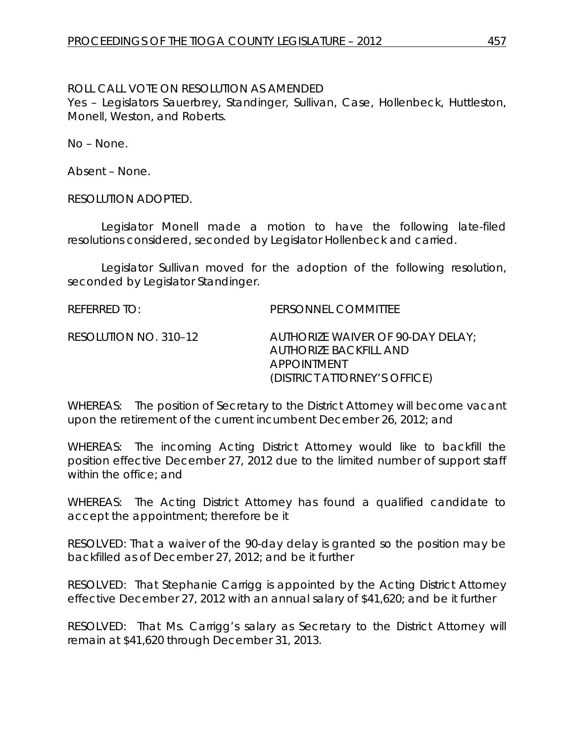#### ROLL CALL VOTE ON RESOLUTION AS AMENDED

Yes – Legislators Sauerbrey, Standinger, Sullivan, Case, Hollenbeck, Huttleston, Monell, Weston, and Roberts.

No – None.

Absent – None.

RESOLUTION ADOPTED.

Legislator Monell made a motion to have the following late-filed resolutions considered, seconded by Legislator Hollenbeck and carried.

Legislator Sullivan moved for the adoption of the following resolution, seconded by Legislator Standinger.

REFERRED TO: PERSONNEL COMMITTEE

RESOLUTION NO. 310–12 *AUTHORIZE WAIVER OF 90-DAY DELAY; AUTHORIZE BACKFILL AND APPOINTMENT (DISTRICT ATTORNEY'S OFFICE)*

WHEREAS: The position of Secretary to the District Attorney will become vacant upon the retirement of the current incumbent December 26, 2012; and

WHEREAS: The incoming Acting District Attorney would like to backfill the position effective December 27, 2012 due to the limited number of support staff within the office; and

WHEREAS: The Acting District Attorney has found a qualified candidate to accept the appointment; therefore be it

RESOLVED: That a waiver of the 90-day delay is granted so the position may be backfilled as of December 27, 2012; and be it further

RESOLVED: That Stephanie Carrigg is appointed by the Acting District Attorney effective December 27, 2012 with an annual salary of \$41,620; and be it further

RESOLVED: That Ms. Carrigg's salary as Secretary to the District Attorney will remain at \$41,620 through December 31, 2013.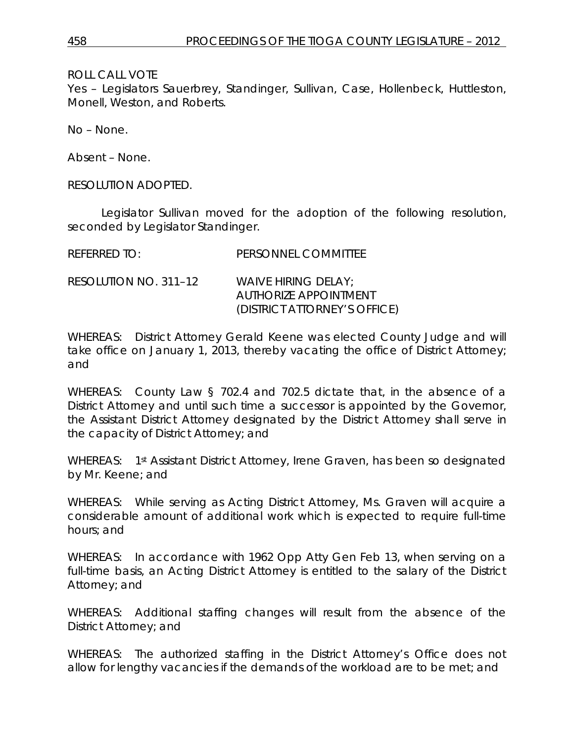ROLL CALL VOTE

Yes – Legislators Sauerbrey, Standinger, Sullivan, Case, Hollenbeck, Huttleston, Monell, Weston, and Roberts.

No – None.

Absent – None.

RESOLUTION ADOPTED.

Legislator Sullivan moved for the adoption of the following resolution, seconded by Legislator Standinger.

| REFERRED TO:          | PERSONNEL COMMITTEE                                                          |
|-----------------------|------------------------------------------------------------------------------|
| RESOLUTION NO. 311–12 | WAIVE HIRING DELAY:<br>AUTHORIZE APPOINTMENT<br>(DISTRICT ATTORNEY'S OFFICE) |

WHEREAS: District Attorney Gerald Keene was elected County Judge and will take office on January 1, 2013, thereby vacating the office of District Attorney; and

WHEREAS: County Law § 702.4 and 702.5 dictate that, in the absence of a District Attorney and until such time a successor is appointed by the Governor, the Assistant District Attorney designated by the District Attorney shall serve in the capacity of District Attorney; and

WHEREAS: 1st Assistant District Attorney, Irene Graven, has been so designated by Mr. Keene; and

WHEREAS: While serving as Acting District Attorney, Ms. Graven will acquire a considerable amount of additional work which is expected to require full-time hours; and

WHEREAS: In accordance with 1962 Opp Atty Gen Feb 13, when serving on a full-time basis, an Acting District Attorney is entitled to the salary of the District Attorney; and

WHEREAS: Additional staffing changes will result from the absence of the District Attorney; and

WHEREAS: The authorized staffing in the District Attorney's Office does not allow for lengthy vacancies if the demands of the workload are to be met; and